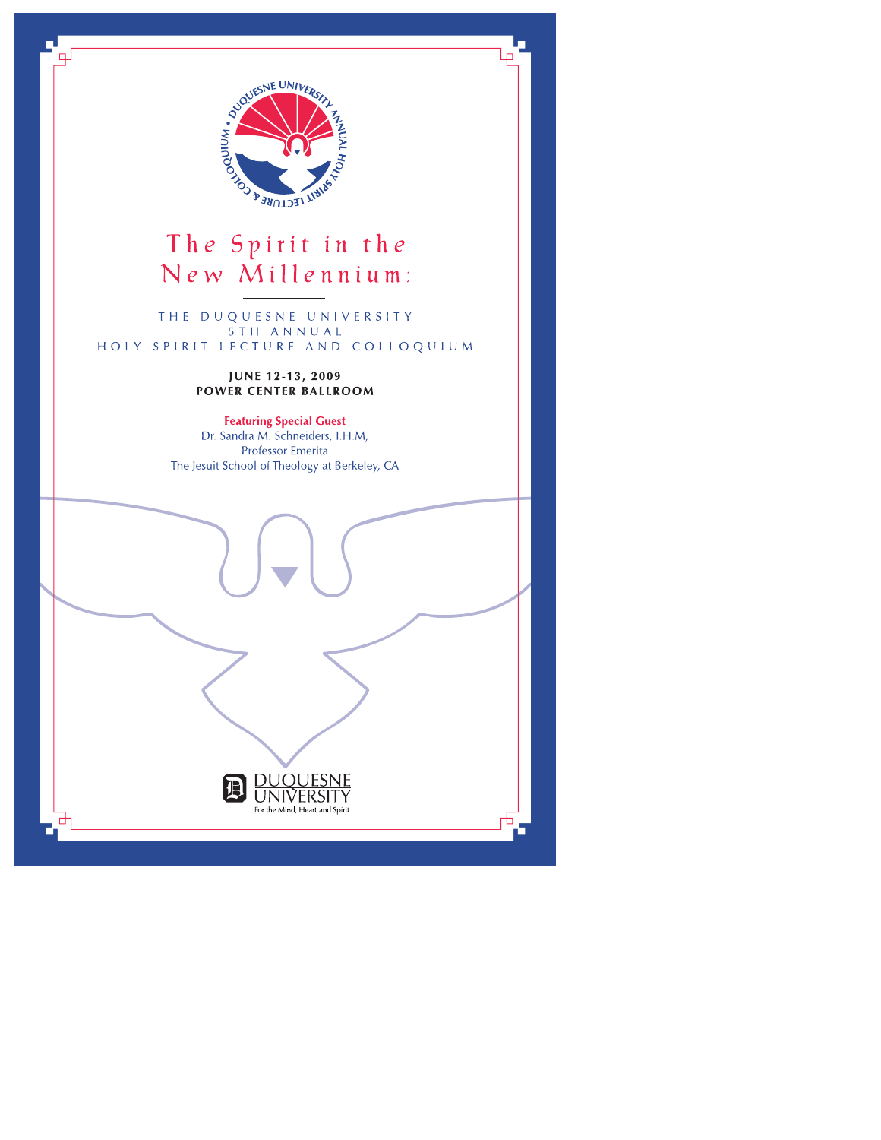

Q.

# The Spirit in the New Millennium:

THE DUOUESNE UNIVERSITY 5TH ANNUAL HOLY SPIRIT LECTURE AND COLLOQUIUM

#### JUNE 12-13, 2009 **POWER CENTER BALLROOM**

**Featuring Special Guest** Dr. Sandra M. Schneiders, I.H.M, Professor Emerita The Jesuit School of Theology at Berkeley, CA

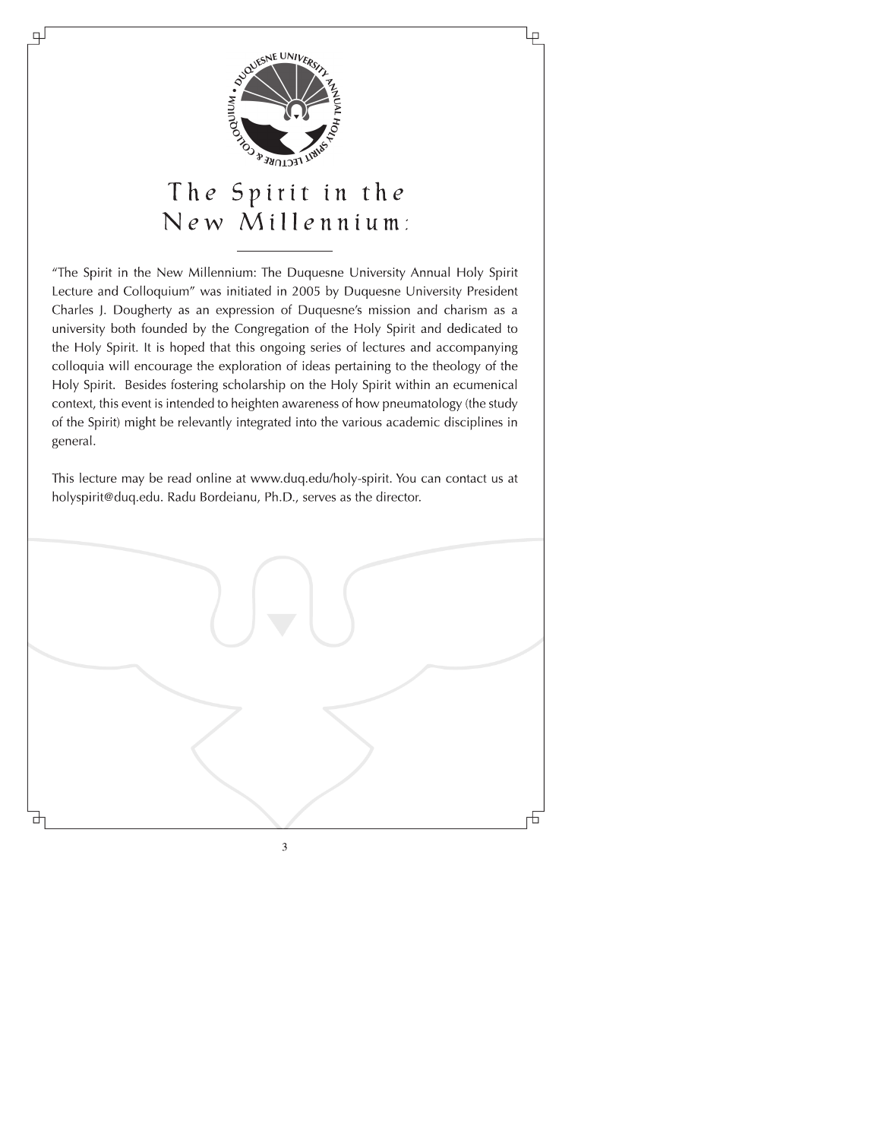

 $\Box$ 

# The Spirit in the New Millennium:

"The Spirit in the New Millennium: The Duquesne University Annual Holy Spirit Lecture and Colloquium" was initiated in 2005 by Duquesne University President Charles J. Dougherty as an expression of Duquesne's mission and charism as a university both founded by the Congregation of the Holy Spirit and dedicated to the Holy Spirit. It is hoped that this ongoing series of lectures and accompanying colloquia will encourage the exploration of ideas pertaining to the theology of the Holy Spirit. Besides fostering scholarship on the Holy Spirit within an ecumenical context, this event is intended to heighten awareness of how pneumatology (the study of the Spirit) might be relevantly integrated into the various academic disciplines in general.

This lecture may be read online at www.duq.edu/holy-spirit. You can contact us at holyspirit@duq.edu. Radu Bordeianu, Ph.D., serves as the director.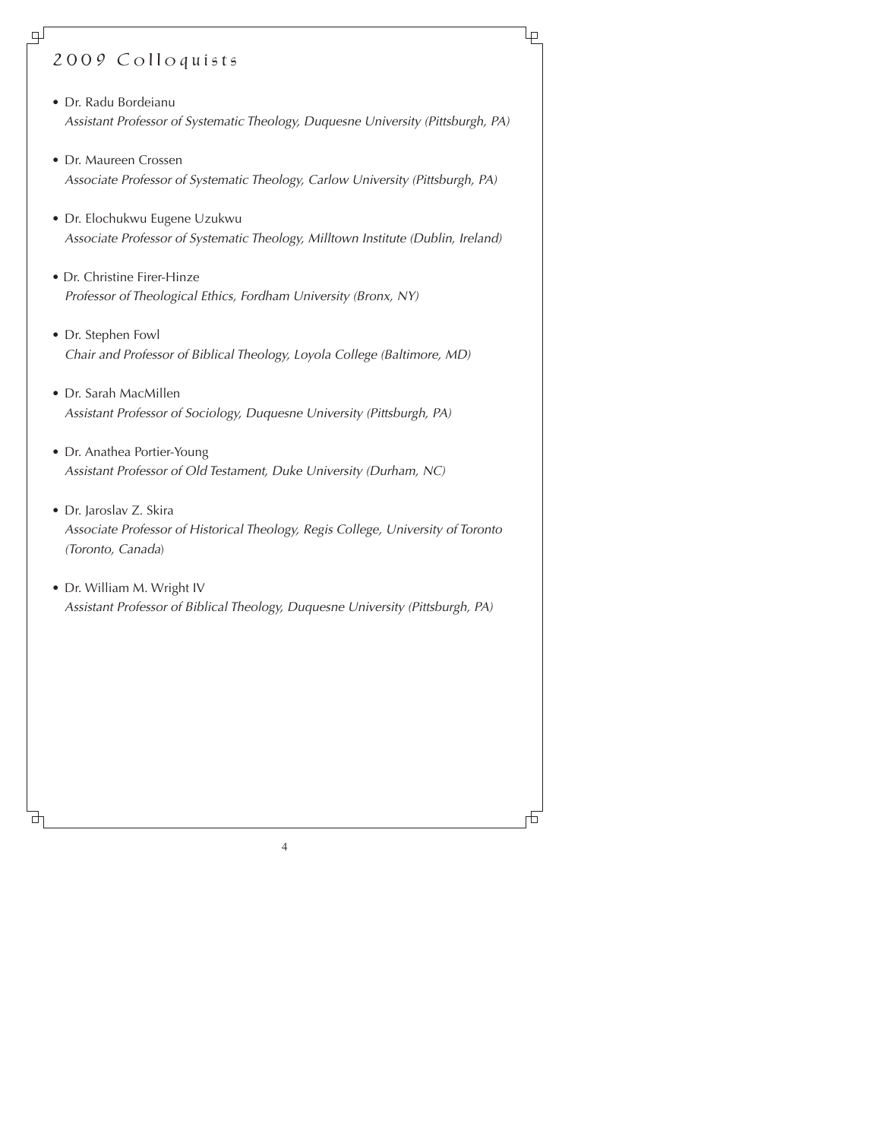# 2009 Colloquists

 $\Box$ 

• Dr. Radu Bordeianu Assistant Professor of Systematic Theology, Duquesne University (Pittsburgh, PA) ᅟᆷ

- Dr. Maureen Crossen Associate Professor of Systematic Theology, Carlow University (Pittsburgh, PA)
- Dr. Elochukwu Eugene Uzukwu Associate Professor of Systematic Theology, Milltown Institute (Dublin, Ireland)
- Dr. Christine Firer-Hinze Professor of Theological Ethics, Fordham University (Bronx, NY)
- Dr. Stephen Fowl Chair and Professor of Biblical Theology, Loyola College (Baltimore, MD)
- Dr. Sarah MacMillen Assistant Professor of Sociology, Duquesne University (Pittsburgh, PA)
- Dr. Anathea Portier-Young Assistant Professor of Old Testament, Duke University (Durham, NC)
- Dr. Jaroslav Z. Skira Associate Professor of Historical Theology, Regis College, University of Toronto (Toronto, Canada)
- Dr. William M. Wright IV Assistant Professor of Biblical Theology, Duquesne University (Pittsburgh, PA)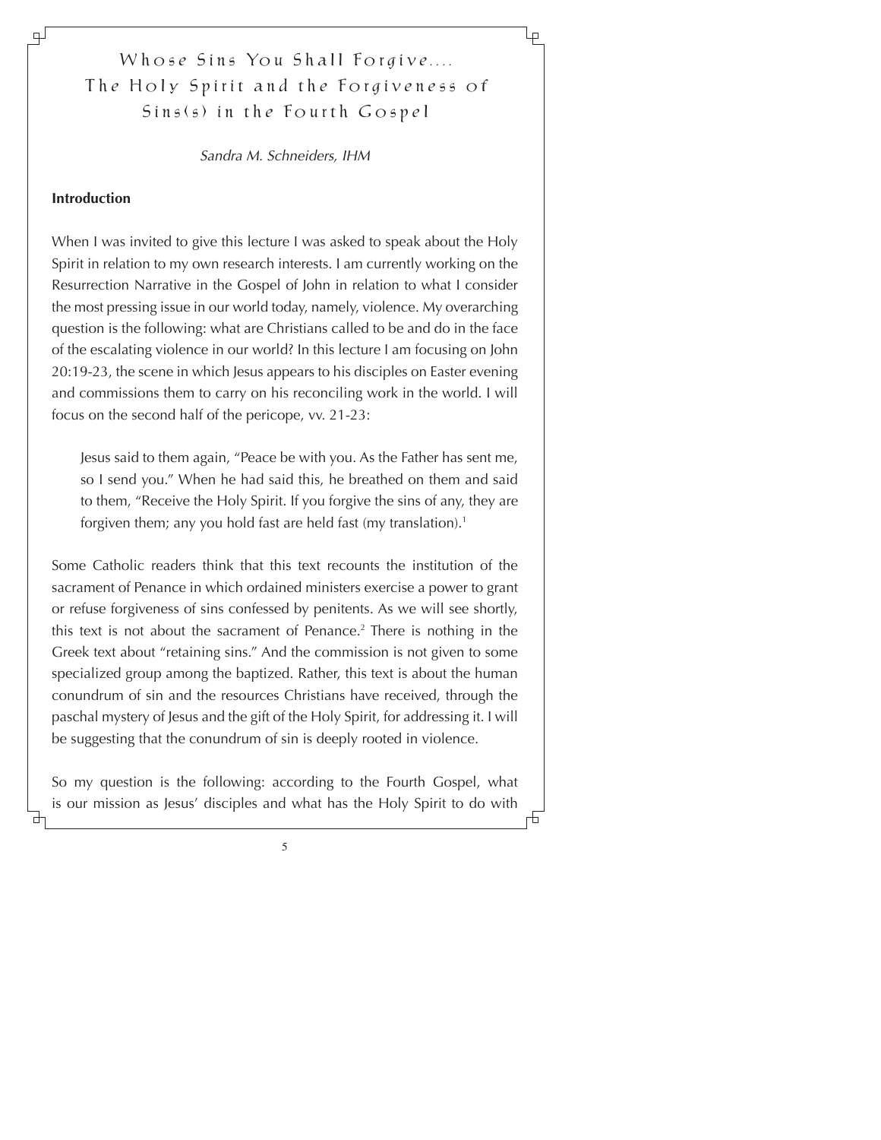Whose Sins You Shall Forgive.... The Holy Spirit and the Forgiveness of  $Sins(s)$  in the Fourth  $Gospel$ 

 $\Box$ 

Sandra M. Schneiders, IHM

#### **Introduction**

⋥

When I was invited to give this lecture I was asked to speak about the Holy Spirit in relation to my own research interests. I am currently working on the Resurrection Narrative in the Gospel of John in relation to what I consider the most pressing issue in our world today, namely, violence. My overarching question is the following: what are Christians called to be and do in the face of the escalating violence in our world? In this lecture I am focusing on John 20:19-23, the scene in which Jesus appears to his disciples on Easter evening and commissions them to carry on his reconciling work in the world. I will focus on the second half of the pericope, vv. 21-23:

Jesus said to them again, "Peace be with you. As the Father has sent me, so I send you." When he had said this, he breathed on them and said to them, "Receive the Holy Spirit. If you forgive the sins of any, they are forgiven them; any you hold fast are held fast (my translation).<sup>1</sup>

Some Catholic readers think that this text recounts the institution of the sacrament of Penance in which ordained ministers exercise a power to grant or refuse forgiveness of sins confessed by penitents. As we will see shortly, this text is not about the sacrament of Penance.<sup>2</sup> There is nothing in the Greek text about "retaining sins." And the commission is not given to some specialized group among the baptized. Rather, this text is about the human conundrum of sin and the resources Christians have received, through the paschal mystery of Jesus and the gift of the Holy Spirit, for addressing it. I will be suggesting that the conundrum of sin is deeply rooted in violence.

So my question is the following: according to the Fourth Gospel, what is our mission as Jesus' disciples and what has the Holy Spirit to do with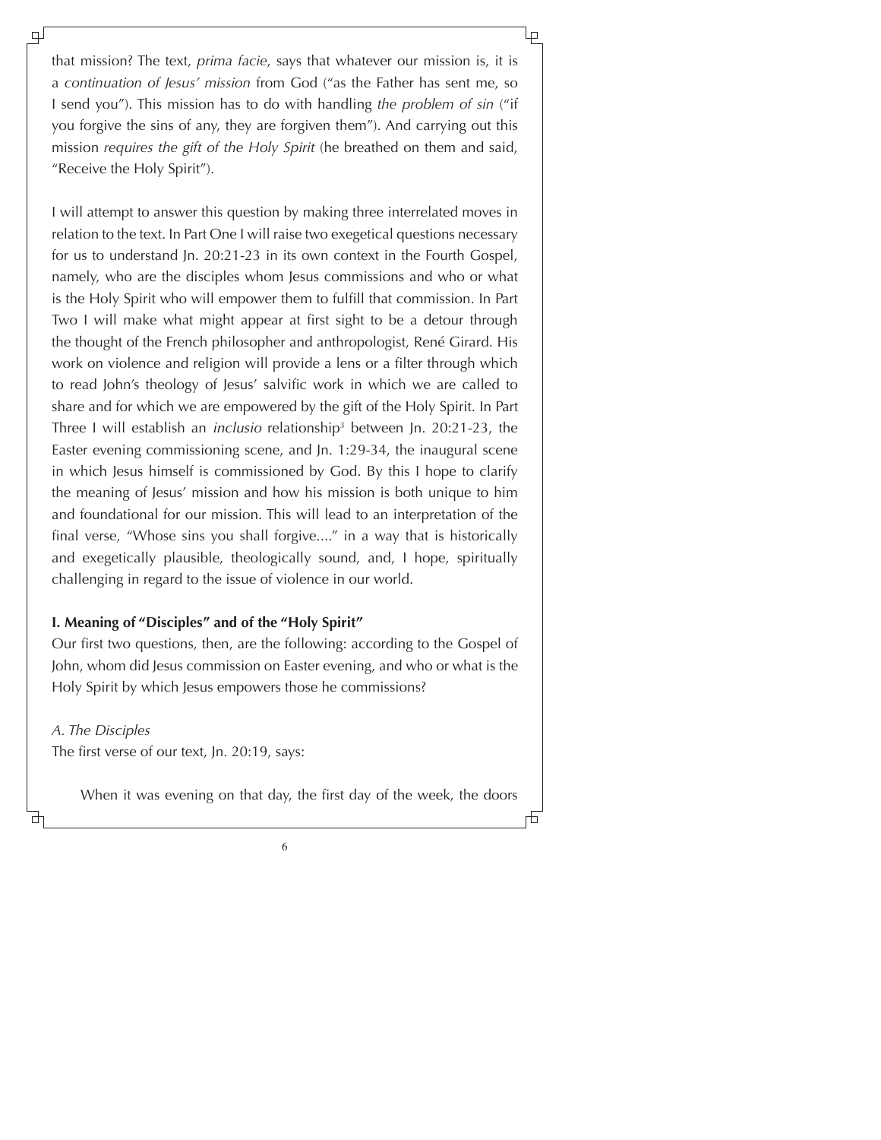that mission? The text, *prima facie*, says that whatever our mission is, it is a *continuation of Jesus' mission* from God ("as the Father has sent me, so I send you"). This mission has to do with handling *the problem of sin* ("if you forgive the sins of any, they are forgiven them"). And carrying out this mission *requires the gift of the Holy Spirit* (he breathed on them and said, "Receive the Holy Spirit").

Lр

₼

I will attempt to answer this question by making three interrelated moves in relation to the text. In Part One I will raise two exegetical questions necessary for us to understand Jn. 20:21-23 in its own context in the Fourth Gospel, namely, who are the disciples whom Jesus commissions and who or what is the Holy Spirit who will empower them to fulfill that commission. In Part Two I will make what might appear at first sight to be a detour through the thought of the French philosopher and anthropologist, René Girard. His work on violence and religion will provide a lens or a filter through which to read John's theology of Jesus' salvific work in which we are called to share and for which we are empowered by the gift of the Holy Spirit. In Part Three I will establish an *inclusio* relationship<sup>3</sup> between Jn. 20:21-23, the Easter evening commissioning scene, and Jn. 1:29-34, the inaugural scene in which Jesus himself is commissioned by God. By this I hope to clarify the meaning of Jesus' mission and how his mission is both unique to him and foundational for our mission. This will lead to an interpretation of the final verse, "Whose sins you shall forgive...." in a way that is historically and exegetically plausible, theologically sound, and, I hope, spiritually challenging in regard to the issue of violence in our world.

#### **I. Meaning of "Disciples" and of the "Holy Spirit"**

Our first two questions, then, are the following: according to the Gospel of John, whom did Jesus commission on Easter evening, and who or what is the Holy Spirit by which Jesus empowers those he commissions?

*A. The Disciples*

 $\Box$ 

The first verse of our text, Jn. 20:19, says:

When it was evening on that day, the first day of the week, the doors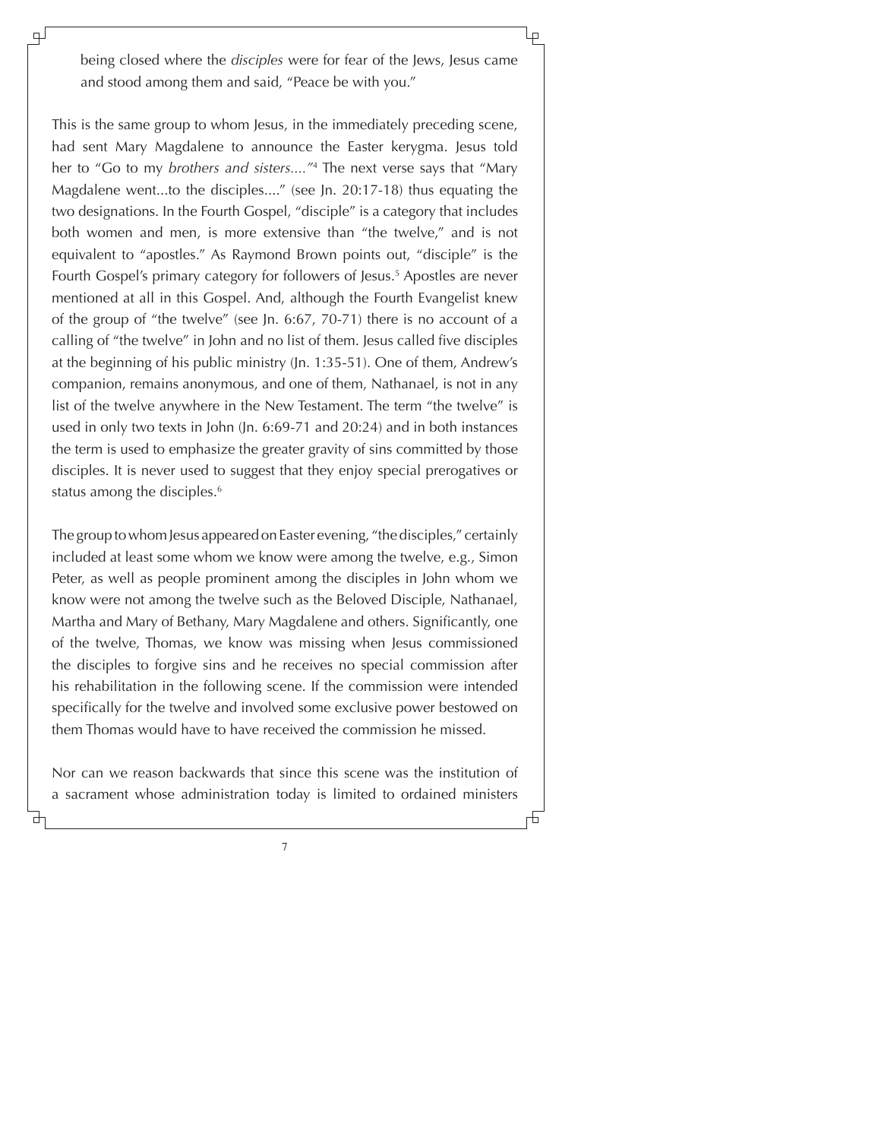being closed where the *disciples* were for fear of the Jews, Jesus came and stood among them and said, "Peace be with you."

Lр

┾┐

 $\overline{+}$ 

This is the same group to whom Jesus, in the immediately preceding scene, had sent Mary Magdalene to announce the Easter kerygma. Jesus told her to "Go to my *brothers and sisters...."*<sup>4</sup> The next verse says that "Mary Magdalene went...to the disciples...." (see Jn. 20:17-18) thus equating the two designations. In the Fourth Gospel, "disciple" is a category that includes both women and men, is more extensive than "the twelve," and is not equivalent to "apostles." As Raymond Brown points out, "disciple" is the Fourth Gospel's primary category for followers of Jesus.<sup>5</sup> Apostles are never mentioned at all in this Gospel. And, although the Fourth Evangelist knew of the group of "the twelve" (see Jn. 6:67, 70-71) there is no account of a calling of "the twelve" in John and no list of them. Jesus called five disciples at the beginning of his public ministry (Jn. 1:35-51). One of them, Andrew's companion, remains anonymous, and one of them, Nathanael, is not in any list of the twelve anywhere in the New Testament. The term "the twelve" is used in only two texts in John (Jn. 6:69-71 and 20:24) and in both instances the term is used to emphasize the greater gravity of sins committed by those disciples. It is never used to suggest that they enjoy special prerogatives or status among the disciples.<sup>6</sup>

The group to whom Jesus appeared on Easter evening, "the disciples," certainly included at least some whom we know were among the twelve, e.g., Simon Peter, as well as people prominent among the disciples in John whom we know were not among the twelve such as the Beloved Disciple, Nathanael, Martha and Mary of Bethany, Mary Magdalene and others. Significantly, one of the twelve, Thomas, we know was missing when Jesus commissioned the disciples to forgive sins and he receives no special commission after his rehabilitation in the following scene. If the commission were intended specifically for the twelve and involved some exclusive power bestowed on them Thomas would have to have received the commission he missed.

Nor can we reason backwards that since this scene was the institution of a sacrament whose administration today is limited to ordained ministers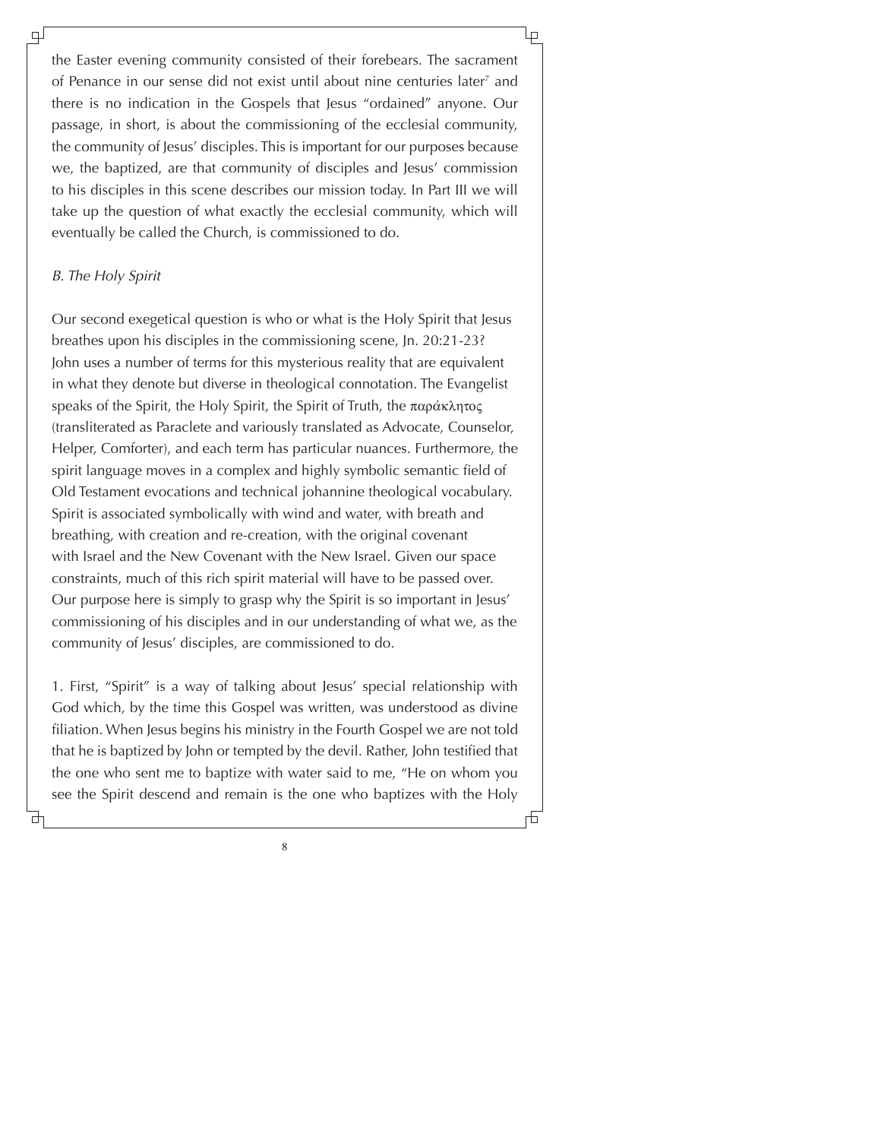the Easter evening community consisted of their forebears. The sacrament of Penance in our sense did not exist until about nine centuries later<sup>7</sup> and there is no indication in the Gospels that Jesus "ordained" anyone. Our passage, in short, is about the commissioning of the ecclesial community, the community of Jesus' disciples. This is important for our purposes because we, the baptized, are that community of disciples and Jesus' commission to his disciples in this scene describes our mission today. In Part III we will take up the question of what exactly the ecclesial community, which will eventually be called the Church, is commissioned to do.

صا

击

#### B. The Holy Spirit

 $\Box$ 

Our second exegetical question is who or what is the Holy Spirit that Jesus breathes upon his disciples in the commissioning scene, Jn. 20:21-23? John uses a number of terms for this mysterious reality that are equivalent in what they denote but diverse in theological connotation. The Evangelist speaks of the Spirit, the Holy Spirit, the Spirit of Truth, the  $\pi \omega \alpha \alpha \kappa \lambda n \tau o c$ (transliterated as Paraclete and variously translated as Advocate, Counselor, Helper, Comforter), and each term has particular nuances. Furthermore, the spirit language moves in a complex and highly symbolic semantic field of Old Testament evocations and technical johannine theological vocabulary. Spirit is associated symbolically with wind and water, with breath and breathing, with creation and re-creation, with the original covenant with Israel and the New Covenant with the New Israel. Given our space constraints, much of this rich spirit material will have to be passed over. Our purpose here is simply to grasp why the Spirit is so important in Jesus' commissioning of his disciples and in our understanding of what we, as the community of Jesus' disciples, are commissioned to do.

1. First, "Spirit" is a way of talking about Jesus' special relationship with God which, by the time this Gospel was written, was understood as divine liation. When Jesus begins his ministry in the Fourth Gospel we are not told that he is baptized by John or tempted by the devil. Rather, John testified that the one who sent me to baptize with water said to me, "He on whom you see the Spirit descend and remain is the one who baptizes with the Holy

8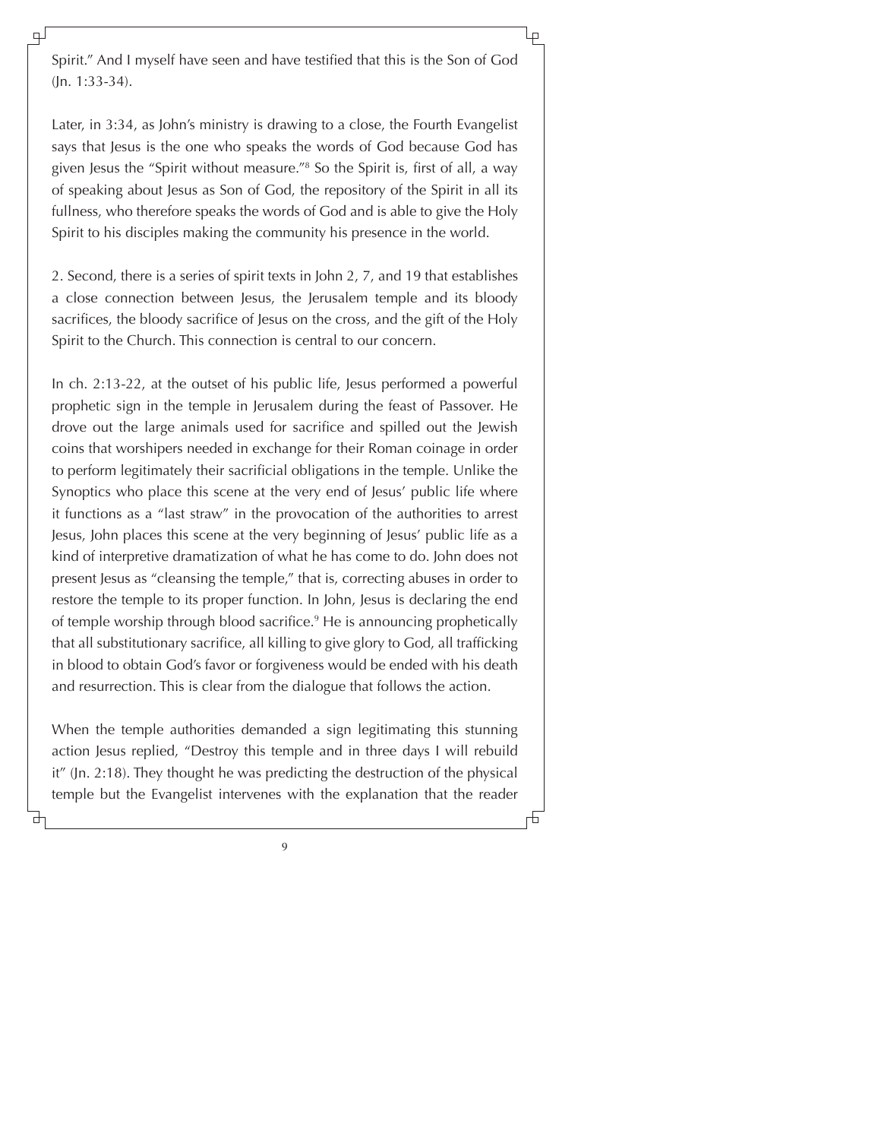Spirit." And I myself have seen and have testified that this is the Son of God (Jn. 1:33-34).

 $\Box$ 

гb

 $\Box$ 

Later, in 3:34, as John's ministry is drawing to a close, the Fourth Evangelist says that Jesus is the one who speaks the words of God because God has given Jesus the "Spirit without measure."<sup>8</sup> So the Spirit is, first of all, a way of speaking about Jesus as Son of God, the repository of the Spirit in all its fullness, who therefore speaks the words of God and is able to give the Holy Spirit to his disciples making the community his presence in the world.

2. Second, there is a series of spirit texts in John 2, 7, and 19 that establishes a close connection between Jesus, the Jerusalem temple and its bloody sacrifices, the bloody sacrifice of Jesus on the cross, and the gift of the Holy Spirit to the Church. This connection is central to our concern.

In ch. 2:13-22, at the outset of his public life, Jesus performed a powerful prophetic sign in the temple in Jerusalem during the feast of Passover. He drove out the large animals used for sacrifice and spilled out the Jewish coins that worshipers needed in exchange for their Roman coinage in order to perform legitimately their sacrificial obligations in the temple. Unlike the Synoptics who place this scene at the very end of Jesus' public life where it functions as a "last straw" in the provocation of the authorities to arrest Jesus, John places this scene at the very beginning of Jesus' public life as a kind of interpretive dramatization of what he has come to do. John does not present Jesus as "cleansing the temple," that is, correcting abuses in order to restore the temple to its proper function. In John, Jesus is declaring the end of temple worship through blood sacrifice.<sup>9</sup> He is announcing prophetically that all substitutionary sacrifice, all killing to give glory to God, all trafficking in blood to obtain God's favor or forgiveness would be ended with his death and resurrection. This is clear from the dialogue that follows the action.

When the temple authorities demanded a sign legitimating this stunning action Jesus replied, "Destroy this temple and in three days I will rebuild it" (Jn. 2:18). They thought he was predicting the destruction of the physical temple but the Evangelist intervenes with the explanation that the reader

9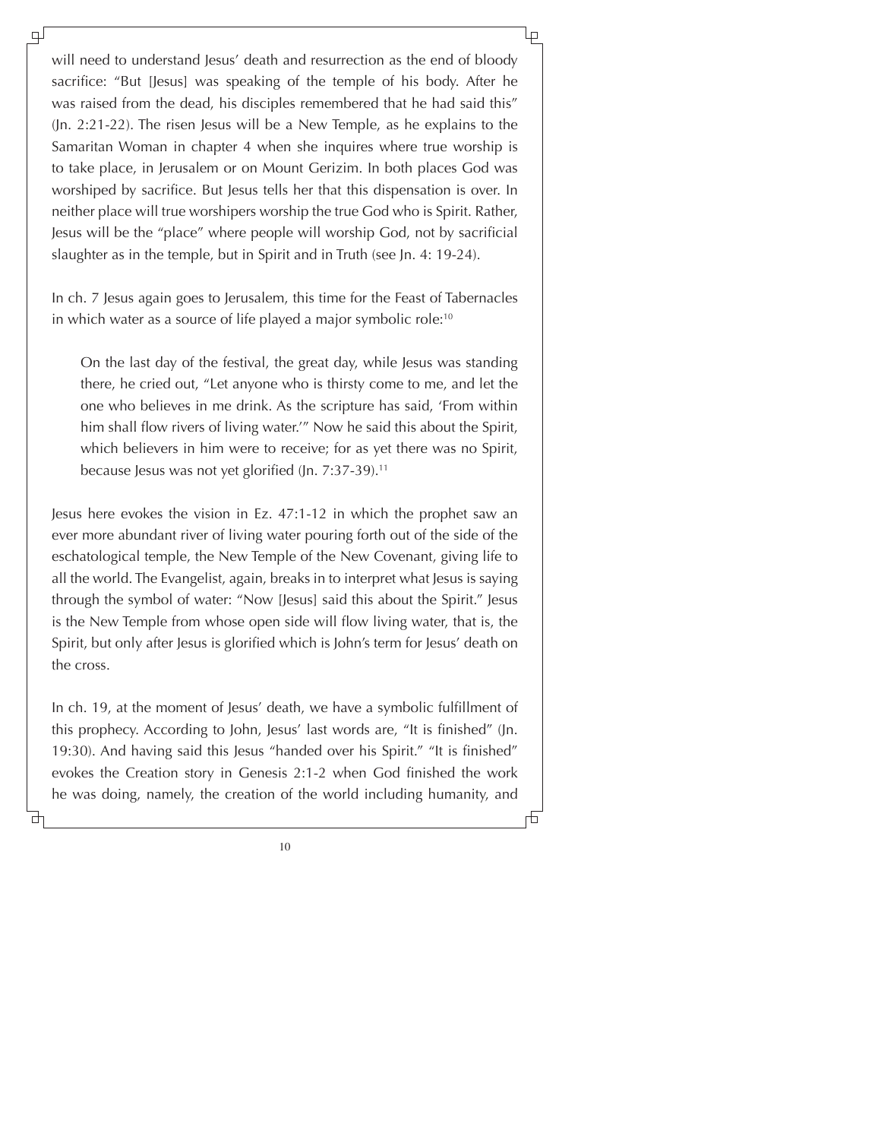will need to understand Jesus' death and resurrection as the end of bloody sacrifice: "But [Jesus] was speaking of the temple of his body. After he was raised from the dead, his disciples remembered that he had said this" (Jn. 2:21-22). The risen Jesus will be a New Temple, as he explains to the Samaritan Woman in chapter 4 when she inquires where true worship is to take place, in Jerusalem or on Mount Gerizim. In both places God was worshiped by sacrifice. But lesus tells her that this dispensation is over. In neither place will true worshipers worship the true God who is Spirit. Rather, Jesus will be the "place" where people will worship God, not by sacrificial slaughter as in the temple, but in Spirit and in Truth (see Jn. 4: 19-24).

Lр

击

 $\Box$ 

In ch. 7 Jesus again goes to Jerusalem, this time for the Feast of Tabernacles in which water as a source of life played a major symbolic role:10

On the last day of the festival, the great day, while Jesus was standing there, he cried out, "Let anyone who is thirsty come to me, and let the one who believes in me drink. As the scripture has said, 'From within him shall flow rivers of living water.'" Now he said this about the Spirit, which believers in him were to receive; for as yet there was no Spirit, because Jesus was not yet glorified (Jn. 7:37-39).<sup>11</sup>

Jesus here evokes the vision in Ez. 47:1-12 in which the prophet saw an ever more abundant river of living water pouring forth out of the side of the eschatological temple, the New Temple of the New Covenant, giving life to all the world. The Evangelist, again, breaks in to interpret what Jesus is saying through the symbol of water: "Now [Jesus] said this about the Spirit." Jesus is the New Temple from whose open side will flow living water, that is, the Spirit, but only after lesus is glorified which is John's term for lesus' death on the cross.

In ch. 19, at the moment of Jesus' death, we have a symbolic fulfillment of this prophecy. According to John, Jesus' last words are, "It is finished" (Jn. 19:30). And having said this Jesus "handed over his Spirit." "It is finished" evokes the Creation story in Genesis 2:1-2 when God finished the work he was doing, namely, the creation of the world including humanity, and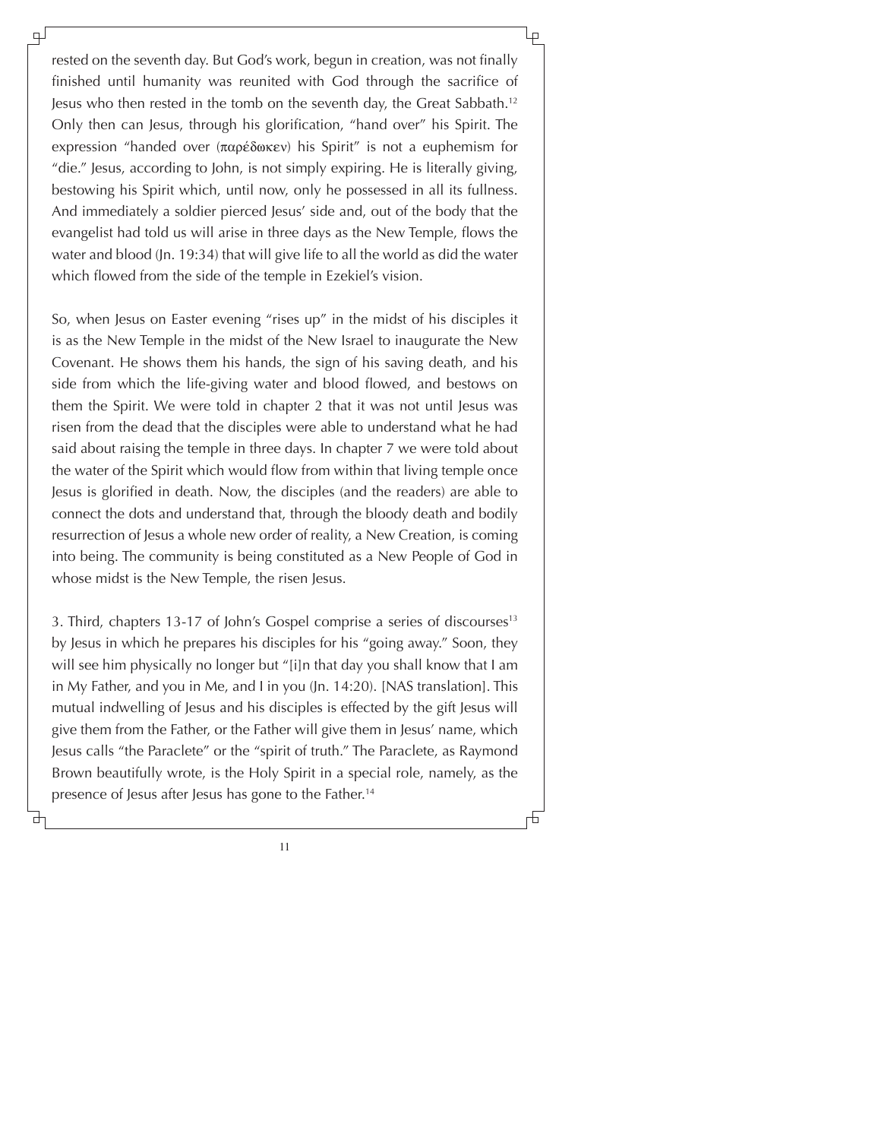rested on the seventh day. But God's work, begun in creation, was not finally finished until humanity was reunited with God through the sacrifice of Jesus who then rested in the tomb on the seventh day, the Great Sabbath.12 Only then can Jesus, through his glorification, "hand over" his Spirit. The expression "handed over  $(\pi \alpha \rho \epsilon \delta \omega \kappa \epsilon)$  his Spirit" is not a euphemism for "die." Jesus, according to John, is not simply expiring. He is literally giving, bestowing his Spirit which, until now, only he possessed in all its fullness. And immediately a soldier pierced Jesus' side and, out of the body that the evangelist had told us will arise in three days as the New Temple, flows the water and blood (In. 19:34) that will give life to all the world as did the water which flowed from the side of the temple in Ezekiel's vision.

صا

⋥

╓

So, when Jesus on Easter evening "rises up" in the midst of his disciples it is as the New Temple in the midst of the New Israel to inaugurate the New Covenant. He shows them his hands, the sign of his saving death, and his side from which the life-giving water and blood flowed, and bestows on them the Spirit. We were told in chapter 2 that it was not until Jesus was risen from the dead that the disciples were able to understand what he had said about raising the temple in three days. In chapter 7 we were told about the water of the Spirit which would flow from within that living temple once Jesus is glorified in death. Now, the disciples (and the readers) are able to connect the dots and understand that, through the bloody death and bodily resurrection of Jesus a whole new order of reality, a New Creation, is coming into being. The community is being constituted as a New People of God in whose midst is the New Temple, the risen Jesus.

3. Third, chapters 13-17 of John's Gospel comprise a series of discourses<sup>13</sup> by Jesus in which he prepares his disciples for his "going away." Soon, they will see him physically no longer but "[i]n that day you shall know that I am in My Father, and you in Me, and I in you (Jn. 14:20). [NAS translation]. This mutual indwelling of Jesus and his disciples is effected by the gift Jesus will give them from the Father, or the Father will give them in Jesus' name, which Jesus calls "the Paraclete" or the "spirit of truth." The Paraclete, as Raymond Brown beautifully wrote, is the Holy Spirit in a special role, namely, as the presence of Jesus after Jesus has gone to the Father.<sup>14</sup>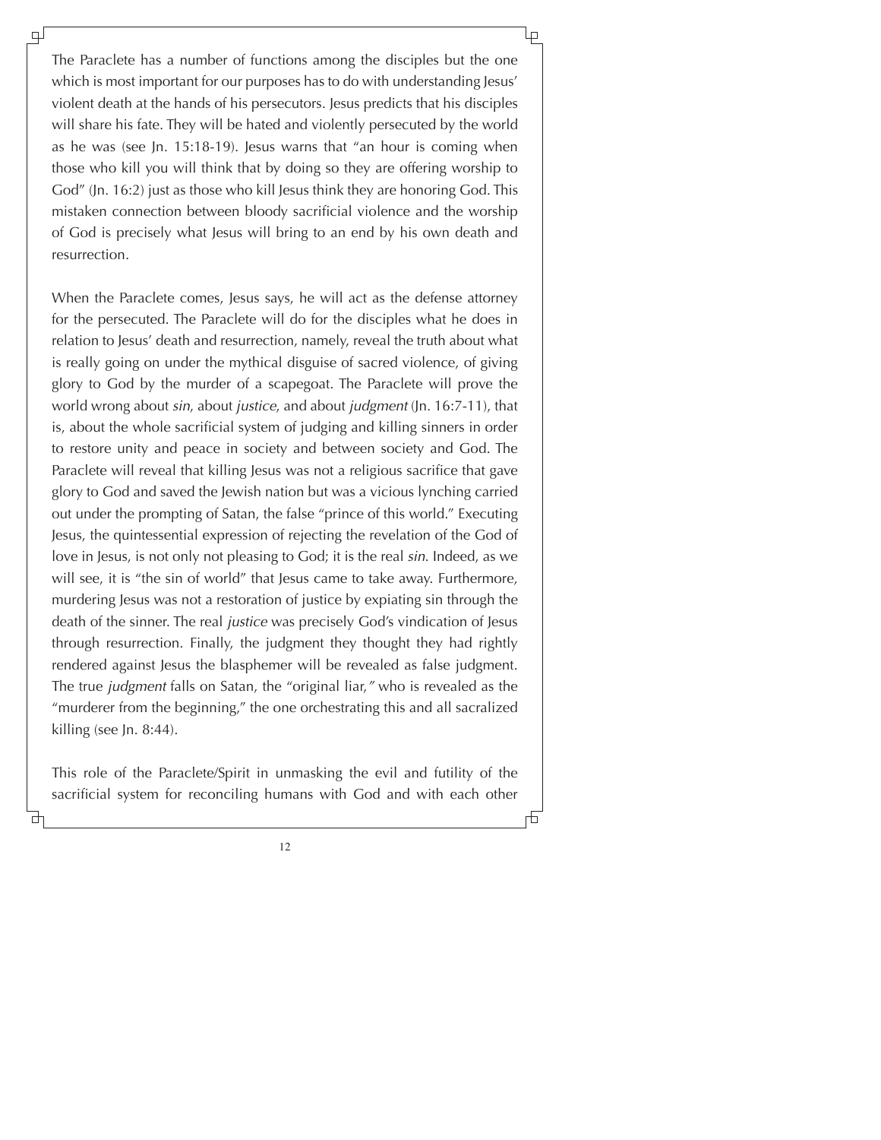The Paraclete has a number of functions among the disciples but the one which is most important for our purposes has to do with understanding Jesus' violent death at the hands of his persecutors. Jesus predicts that his disciples will share his fate. They will be hated and violently persecuted by the world as he was (see Jn. 15:18-19). Jesus warns that "an hour is coming when those who kill you will think that by doing so they are offering worship to God" (Jn. 16:2) just as those who kill Jesus think they are honoring God. This mistaken connection between bloody sacrificial violence and the worship of God is precisely what Jesus will bring to an end by his own death and resurrection.

Lр

击

 $\Box$ 

When the Paraclete comes, Jesus says, he will act as the defense attorney for the persecuted. The Paraclete will do for the disciples what he does in relation to Jesus' death and resurrection, namely, reveal the truth about what is really going on under the mythical disguise of sacred violence, of giving glory to God by the murder of a scapegoat. The Paraclete will prove the world wrong about *sin*, about *justice*, and about *judgment* (In. 16:7-11), that is, about the whole sacrificial system of judging and killing sinners in order to restore unity and peace in society and between society and God. The Paraclete will reveal that killing Jesus was not a religious sacrifice that gave glory to God and saved the Jewish nation but was a vicious lynching carried out under the prompting of Satan, the false "prince of this world." Executing Jesus, the quintessential expression of rejecting the revelation of the God of love in Jesus, is not only not pleasing to God; it is the real sin. Indeed, as we will see, it is "the sin of world" that Jesus came to take away. Furthermore, murdering Jesus was not a restoration of justice by expiating sin through the death of the sinner. The real justice was precisely God's vindication of Jesus through resurrection. Finally, the judgment they thought they had rightly rendered against Jesus the blasphemer will be revealed as false judgment. The true *judgment* falls on Satan, the "original liar," who is revealed as the "murderer from the beginning," the one orchestrating this and all sacralized killing (see Jn. 8:44).

This role of the Paraclete/Spirit in unmasking the evil and futility of the sacrificial system for reconciling humans with God and with each other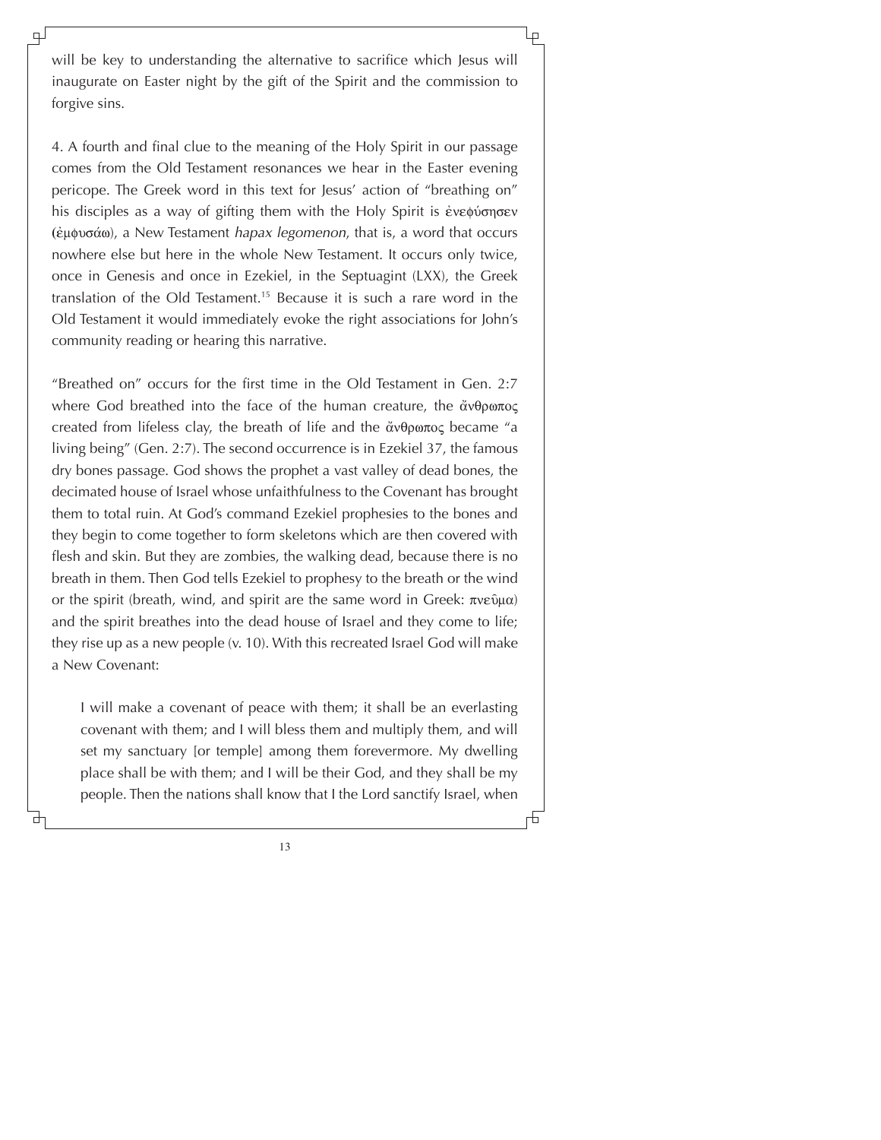will be key to understanding the alternative to sacrifice which Jesus will inaugurate on Easter night by the gift of the Spirit and the commission to forgive sins.

Lр

₼

 $\Box$ 

±

4. A fourth and final clue to the meaning of the Holy Spirit in our passage comes from the Old Testament resonances we hear in the Easter evening pericope. The Greek word in this text for Jesus' action of "breathing on" his disciples as a way of gifting them with the Holy Spirit is  $\dot{\epsilon}$ νεφύσησεν  $(i\mu\psi\sigma\alpha\omega)$ , a New Testament *hapax legomenon*, that is, a word that occurs nowhere else but here in the whole New Testament. It occurs only twice, once in Genesis and once in Ezekiel, in the Septuagint (LXX), the Greek translation of the Old Testament.15 Because it is such a rare word in the Old Testament it would immediately evoke the right associations for John's community reading or hearing this narrative.

"Breathed on" occurs for the first time in the Old Testament in Gen.  $2:7$ where God breathed into the face of the human creature, the  $\ddot{\alpha}$ created from lifeless clay, the breath of life and the  $\alpha\theta$ living being" (Gen. 2:7). The second occurrence is in Ezekiel 37, the famous dry bones passage. God shows the prophet a vast valley of dead bones, the decimated house of Israel whose unfaithfulness to the Covenant has brought them to total ruin. At God's command Ezekiel prophesies to the bones and they begin to come together to form skeletons which are then covered with flesh and skin. But they are zombies, the walking dead, because there is no breath in them. Then God tells Ezekiel to prophesy to the breath or the wind or the spirit (breath, wind, and spirit are the same word in Greek:  $\pi v \in \partial u$ ) and the spirit breathes into the dead house of Israel and they come to life; they rise up as a new people (v. 10). With this recreated Israel God will make a New Covenant:

I will make a covenant of peace with them; it shall be an everlasting covenant with them; and I will bless them and multiply them, and will set my sanctuary [or temple] among them forevermore. My dwelling place shall be with them; and I will be their God, and they shall be my people. Then the nations shall know that I the Lord sanctify Israel, when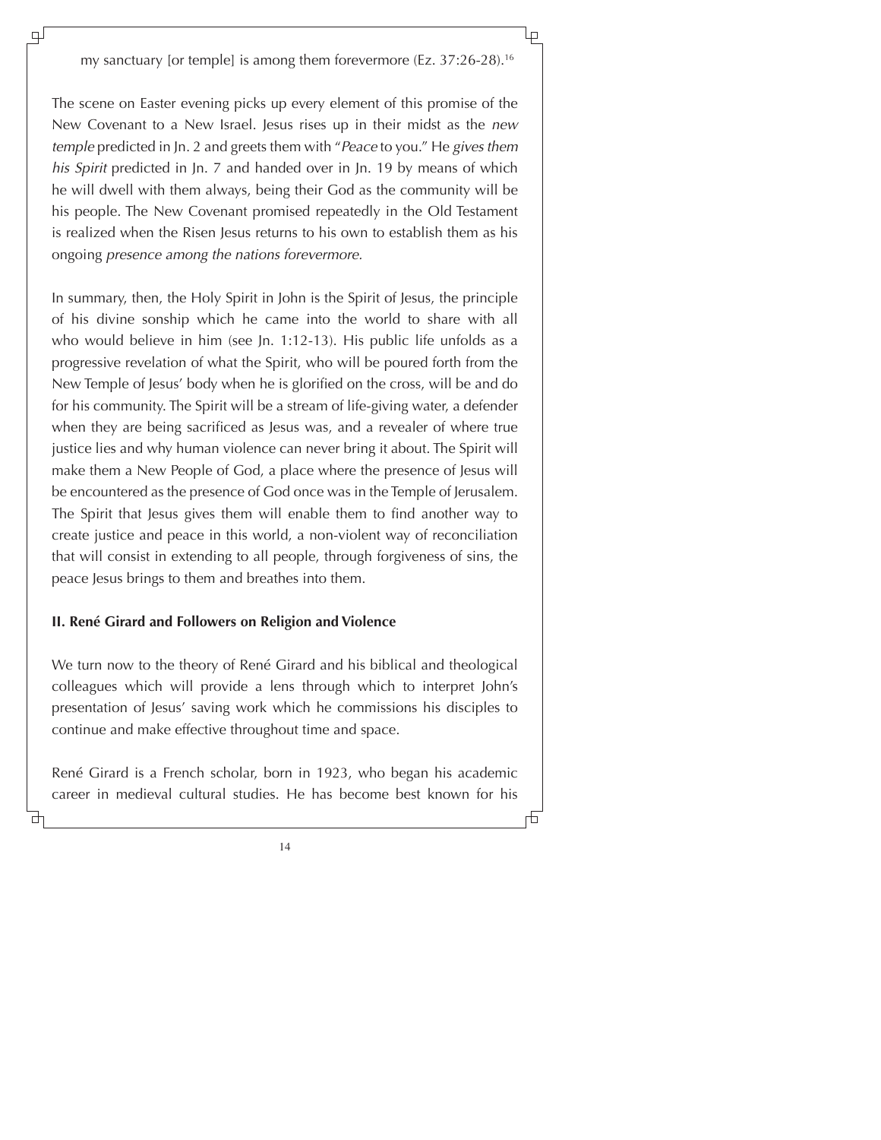my sanctuary [or temple] is among them forevermore (Ez. 37:26-28).<sup>16</sup>

Lд

市

 $\Box$ 

The scene on Easter evening picks up every element of this promise of the New Covenant to a New Israel. Jesus rises up in their midst as the new temple predicted in Jn. 2 and greets them with "Peace to you." He gives them his Spirit predicted in Jn. 7 and handed over in Jn. 19 by means of which he will dwell with them always, being their God as the community will be his people. The New Covenant promised repeatedly in the Old Testament is realized when the Risen Jesus returns to his own to establish them as his ongoing presence among the nations forevermore.

In summary, then, the Holy Spirit in John is the Spirit of Jesus, the principle of his divine sonship which he came into the world to share with all who would believe in him (see Jn. 1:12-13). His public life unfolds as a progressive revelation of what the Spirit, who will be poured forth from the New Temple of Jesus' body when he is glorified on the cross, will be and do for his community. The Spirit will be a stream of life-giving water, a defender when they are being sacrificed as Jesus was, and a revealer of where true justice lies and why human violence can never bring it about. The Spirit will make them a New People of God, a place where the presence of Jesus will be encountered as the presence of God once was in the Temple of Jerusalem. The Spirit that Jesus gives them will enable them to find another way to create justice and peace in this world, a non-violent way of reconciliation that will consist in extending to all people, through forgiveness of sins, the peace Jesus brings to them and breathes into them.

## **II. René Girard and Followers on Religion and Violence**

We turn now to the theory of René Girard and his biblical and theological colleagues which will provide a lens through which to interpret John's presentation of Jesus' saving work which he commissions his disciples to continue and make effective throughout time and space.

René Girard is a French scholar, born in 1923, who began his academic career in medieval cultural studies. He has become best known for his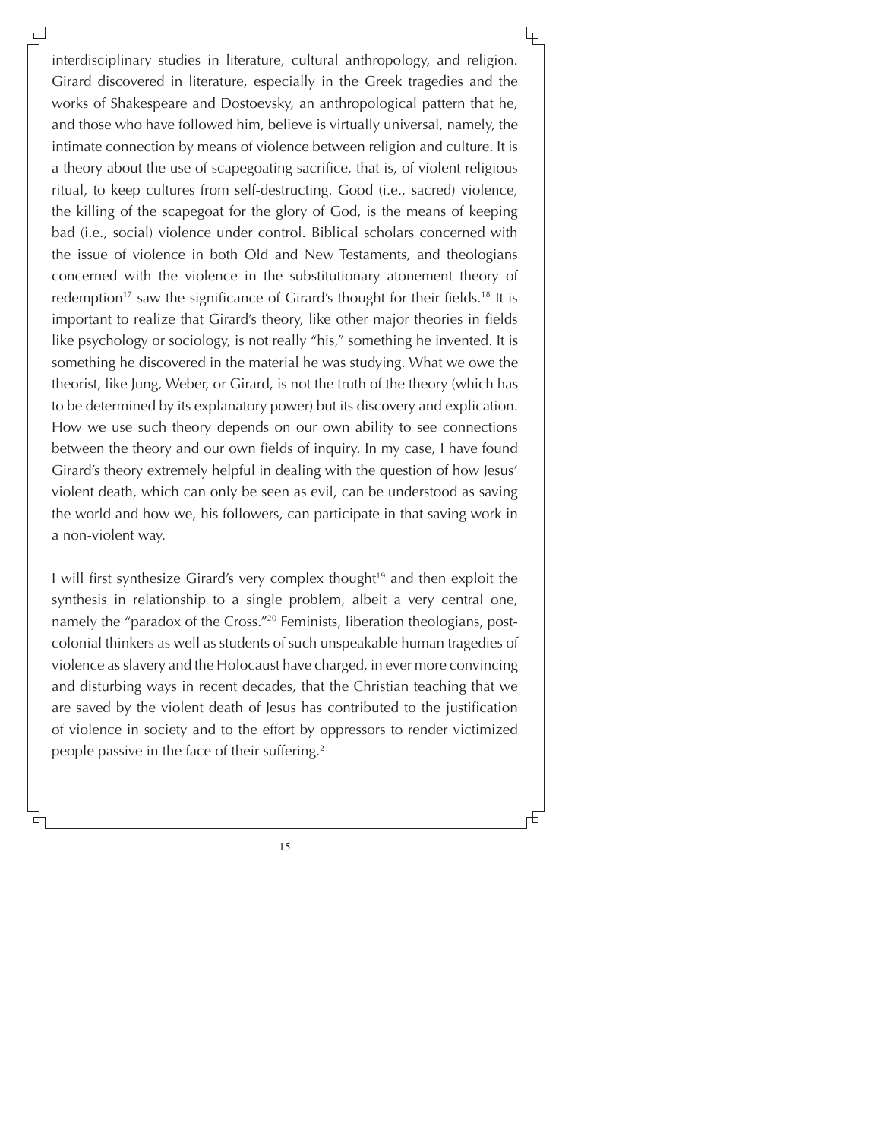interdisciplinary studies in literature, cultural anthropology, and religion. Girard discovered in literature, especially in the Greek tragedies and the works of Shakespeare and Dostoevsky, an anthropological pattern that he, and those who have followed him, believe is virtually universal, namely, the intimate connection by means of violence between religion and culture. It is a theory about the use of scapegoating sacrifice, that is, of violent religious ritual, to keep cultures from self-destructing. Good (i.e., sacred) violence, the killing of the scapegoat for the glory of God, is the means of keeping bad (i.e., social) violence under control. Biblical scholars concerned with the issue of violence in both Old and New Testaments, and theologians concerned with the violence in the substitutionary atonement theory of redemption<sup>17</sup> saw the significance of Girard's thought for their fields.<sup>18</sup> It is important to realize that Girard's theory, like other major theories in fields like psychology or sociology, is not really "his," something he invented. It is something he discovered in the material he was studying. What we owe the theorist, like Jung, Weber, or Girard, is not the truth of the theory (which has to be determined by its explanatory power) but its discovery and explication. How we use such theory depends on our own ability to see connections between the theory and our own fields of inquiry. In my case, I have found Girard's theory extremely helpful in dealing with the question of how Jesus' violent death, which can only be seen as evil, can be understood as saving the world and how we, his followers, can participate in that saving work in a non-violent way.

صا

⋥

±

I will first synthesize Girard's very complex thought<sup>19</sup> and then exploit the synthesis in relationship to a single problem, albeit a very central one, namely the "paradox of the Cross."20 Feminists, liberation theologians, postcolonial thinkers as well as students of such unspeakable human tragedies of violence as slavery and the Holocaust have charged, in ever more convincing and disturbing ways in recent decades, that the Christian teaching that we are saved by the violent death of Jesus has contributed to the justification of violence in society and to the effort by oppressors to render victimized people passive in the face of their suffering.21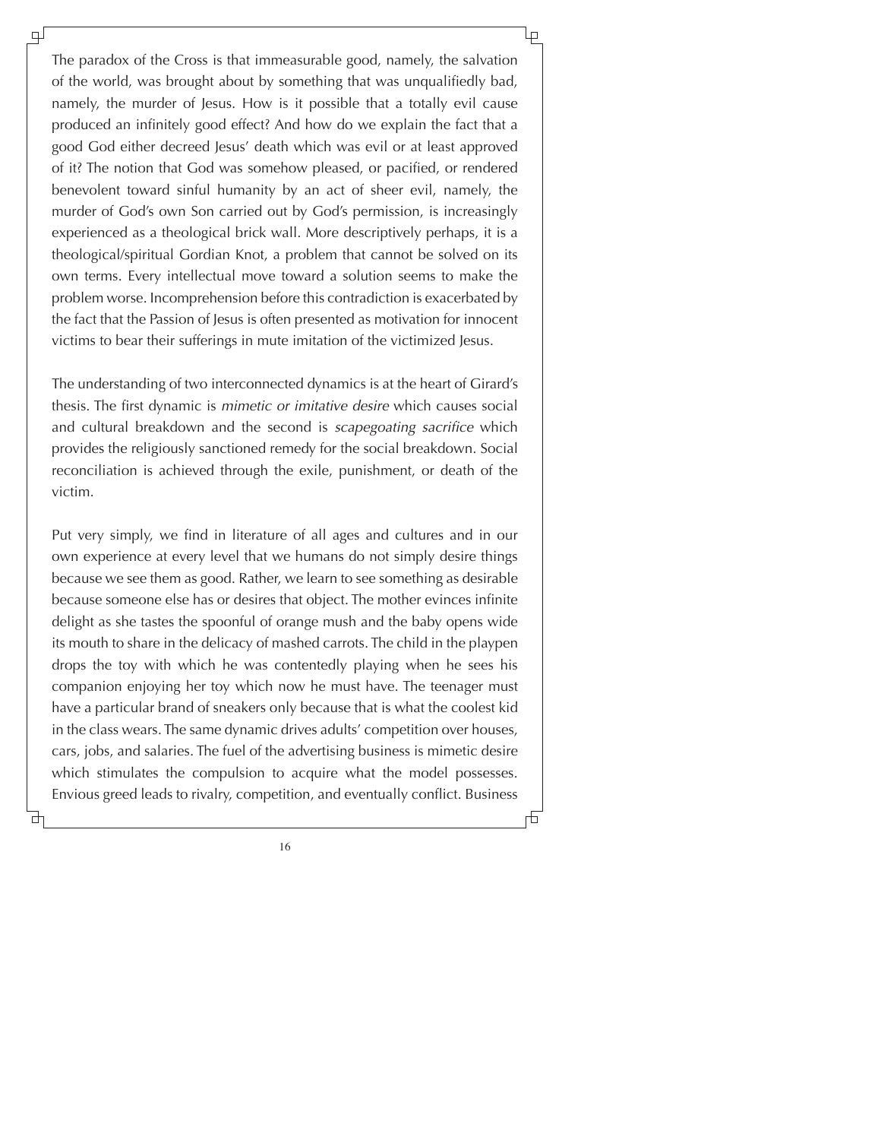The paradox of the Cross is that immeasurable good, namely, the salvation of the world, was brought about by something that was unqualifiedly bad, namely, the murder of Jesus. How is it possible that a totally evil cause produced an infinitely good effect? And how do we explain the fact that a good God either decreed Jesus' death which was evil or at least approved of it? The notion that God was somehow pleased, or pacified, or rendered benevolent toward sinful humanity by an act of sheer evil, namely, the murder of God's own Son carried out by God's permission, is increasingly experienced as a theological brick wall. More descriptively perhaps, it is a theological/spiritual Gordian Knot, a problem that cannot be solved on its own terms. Every intellectual move toward a solution seems to make the problem worse. Incomprehension before this contradiction is exacerbated by the fact that the Passion of Jesus is often presented as motivation for innocent victims to bear their sufferings in mute imitation of the victimized Jesus.

Lр

击

 $\Box$ 

The understanding of two interconnected dynamics is at the heart of Girard's thesis. The first dynamic is *mimetic or imitative desire* which causes social and cultural breakdown and the second is *scapegoating sacrifice* which provides the religiously sanctioned remedy for the social breakdown. Social reconciliation is achieved through the exile, punishment, or death of the victim.

Put very simply, we find in literature of all ages and cultures and in our own experience at every level that we humans do not simply desire things because we see them as good. Rather, we learn to see something as desirable because someone else has or desires that object. The mother evinces infinite delight as she tastes the spoonful of orange mush and the baby opens wide its mouth to share in the delicacy of mashed carrots. The child in the playpen drops the toy with which he was contentedly playing when he sees his companion enjoying her toy which now he must have. The teenager must have a particular brand of sneakers only because that is what the coolest kid in the class wears. The same dynamic drives adults' competition over houses, cars, jobs, and salaries. The fuel of the advertising business is mimetic desire which stimulates the compulsion to acquire what the model possesses. Envious greed leads to rivalry, competition, and eventually conflict. Business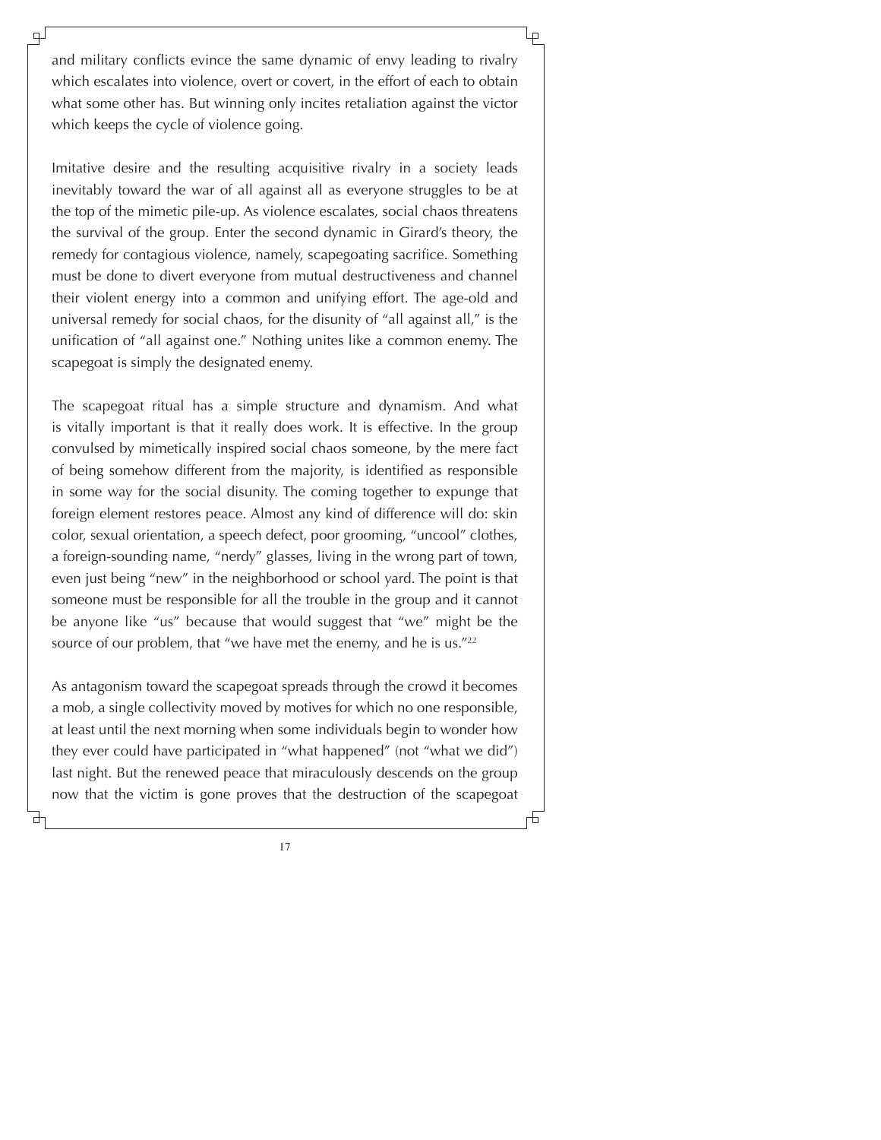and military conflicts evince the same dynamic of envy leading to rivalry which escalates into violence, overt or covert, in the effort of each to obtain what some other has. But winning only incites retaliation against the victor which keeps the cycle of violence going.

Lр

⋥

Imitative desire and the resulting acquisitive rivalry in a society leads inevitably toward the war of all against all as everyone struggles to be at the top of the mimetic pile-up. As violence escalates, social chaos threatens the survival of the group. Enter the second dynamic in Girard's theory, the remedy for contagious violence, namely, scapegoating sacrifice. Something must be done to divert everyone from mutual destructiveness and channel their violent energy into a common and unifying effort. The age-old and universal remedy for social chaos, for the disunity of "all against all," is the unification of "all against one." Nothing unites like a common enemy. The scapegoat is simply the designated enemy.

The scapegoat ritual has a simple structure and dynamism. And what is vitally important is that it really does work. It is effective. In the group convulsed by mimetically inspired social chaos someone, by the mere fact of being somehow different from the majority, is identified as responsible in some way for the social disunity. The coming together to expunge that foreign element restores peace. Almost any kind of difference will do: skin color, sexual orientation, a speech defect, poor grooming, "uncool" clothes, a foreign-sounding name, "nerdy" glasses, living in the wrong part of town, even just being "new" in the neighborhood or school yard. The point is that someone must be responsible for all the trouble in the group and it cannot be anyone like "us" because that would suggest that "we" might be the source of our problem, that "we have met the enemy, and he is us."<sup>22</sup>

As antagonism toward the scapegoat spreads through the crowd it becomes a mob, a single collectivity moved by motives for which no one responsible, at least until the next morning when some individuals begin to wonder how they ever could have participated in "what happened" (not "what we did") last night. But the renewed peace that miraculously descends on the group now that the victim is gone proves that the destruction of the scapegoat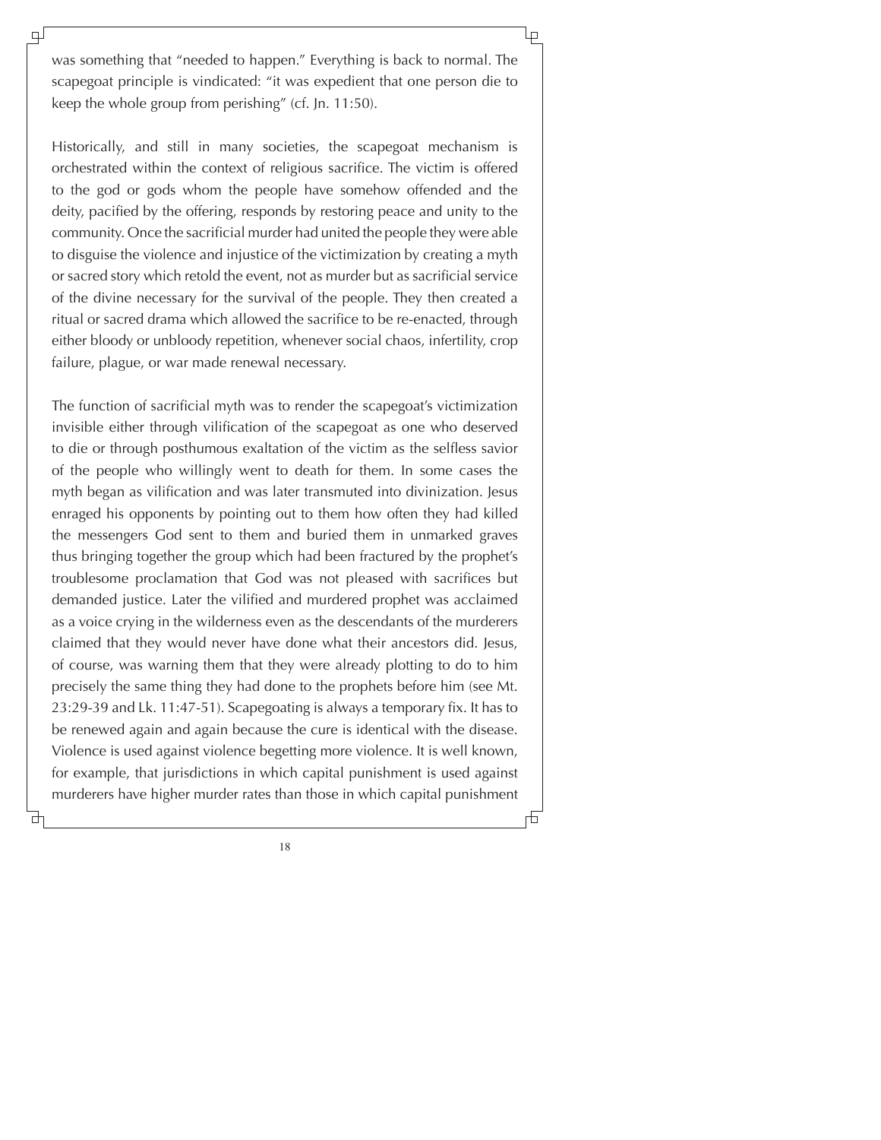was something that "needed to happen." Everything is back to normal. The scapegoat principle is vindicated: "it was expedient that one person die to keep the whole group from perishing" (cf. Jn. 11:50).

Lр

击

 $\Box$ 

Historically, and still in many societies, the scapegoat mechanism is orchestrated within the context of religious sacrifice. The victim is offered to the god or gods whom the people have somehow offended and the deity, pacified by the offering, responds by restoring peace and unity to the community. Once the sacrificial murder had united the people they were able to disguise the violence and injustice of the victimization by creating a myth or sacred story which retold the event, not as murder but as sacrificial service of the divine necessary for the survival of the people. They then created a ritual or sacred drama which allowed the sacrifice to be re-enacted, through either bloody or unbloody repetition, whenever social chaos, infertility, crop failure, plague, or war made renewal necessary.

The function of sacrificial myth was to render the scapegoat's victimization invisible either through vilification of the scapegoat as one who deserved to die or through posthumous exaltation of the victim as the selfless savior of the people who willingly went to death for them. In some cases the myth began as vilification and was later transmuted into divinization. Jesus enraged his opponents by pointing out to them how often they had killed the messengers God sent to them and buried them in unmarked graves thus bringing together the group which had been fractured by the prophet's troublesome proclamation that God was not pleased with sacrifices but demanded justice. Later the vilified and murdered prophet was acclaimed as a voice crying in the wilderness even as the descendants of the murderers claimed that they would never have done what their ancestors did. Jesus, of course, was warning them that they were already plotting to do to him precisely the same thing they had done to the prophets before him (see Mt. 23:29-39 and Lk. 11:47-51). Scapegoating is always a temporary fix. It has to be renewed again and again because the cure is identical with the disease. Violence is used against violence begetting more violence. It is well known, for example, that jurisdictions in which capital punishment is used against murderers have higher murder rates than those in which capital punishment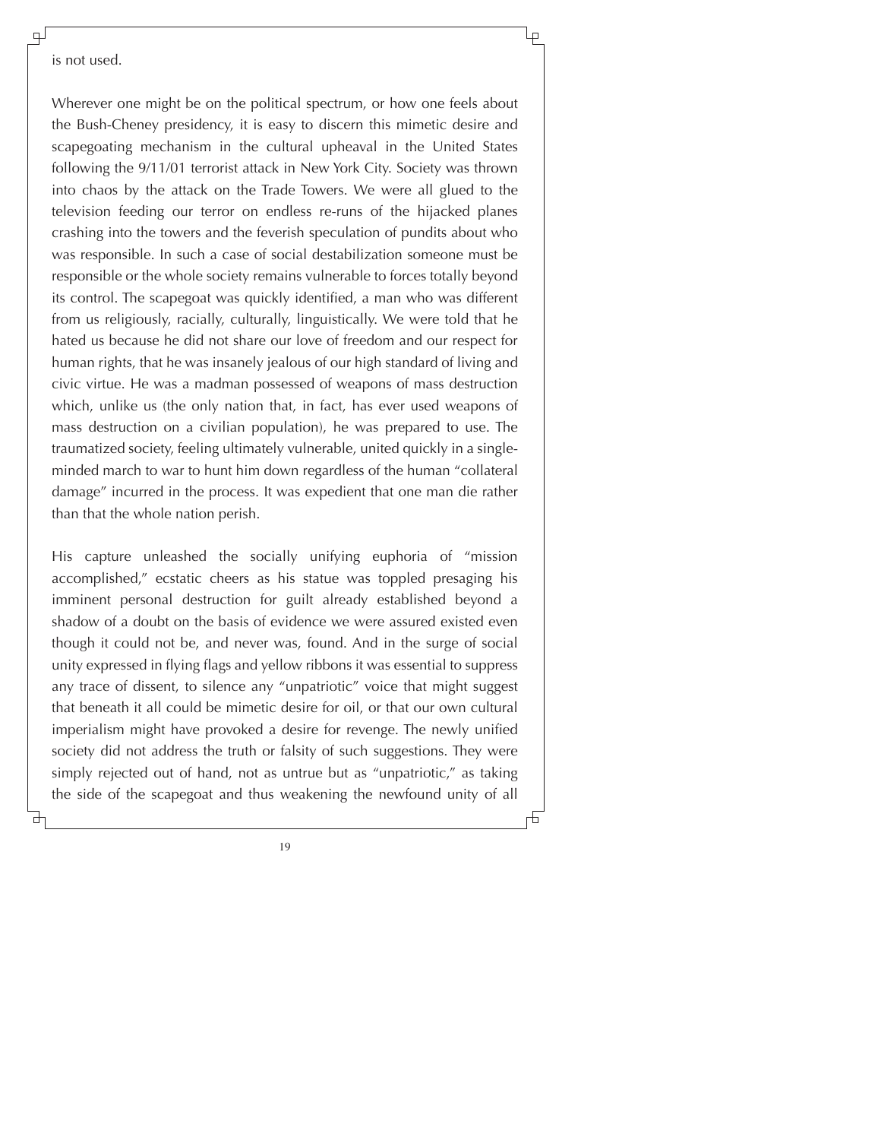is not used.

 $\Box$ 

Wherever one might be on the political spectrum, or how one feels about the Bush-Cheney presidency, it is easy to discern this mimetic desire and scapegoating mechanism in the cultural upheaval in the United States following the 9/11/01 terrorist attack in New York City. Society was thrown into chaos by the attack on the Trade Towers. We were all glued to the television feeding our terror on endless re-runs of the hijacked planes crashing into the towers and the feverish speculation of pundits about who was responsible. In such a case of social destabilization someone must be responsible or the whole society remains vulnerable to forces totally beyond its control. The scapegoat was quickly identified, a man who was different from us religiously, racially, culturally, linguistically. We were told that he hated us because he did not share our love of freedom and our respect for human rights, that he was insanely jealous of our high standard of living and civic virtue. He was a madman possessed of weapons of mass destruction which, unlike us (the only nation that, in fact, has ever used weapons of mass destruction on a civilian population), he was prepared to use. The traumatized society, feeling ultimately vulnerable, united quickly in a singleminded march to war to hunt him down regardless of the human "collateral damage" incurred in the process. It was expedient that one man die rather than that the whole nation perish.

 $\Box$ 

┾┐

His capture unleashed the socially unifying euphoria of "mission accomplished," ecstatic cheers as his statue was toppled presaging his imminent personal destruction for guilt already established beyond a shadow of a doubt on the basis of evidence we were assured existed even though it could not be, and never was, found. And in the surge of social unity expressed in flying flags and yellow ribbons it was essential to suppress any trace of dissent, to silence any "unpatriotic" voice that might suggest that beneath it all could be mimetic desire for oil, or that our own cultural imperialism might have provoked a desire for revenge. The newly unified society did not address the truth or falsity of such suggestions. They were simply rejected out of hand, not as untrue but as "unpatriotic," as taking the side of the scapegoat and thus weakening the newfound unity of all

19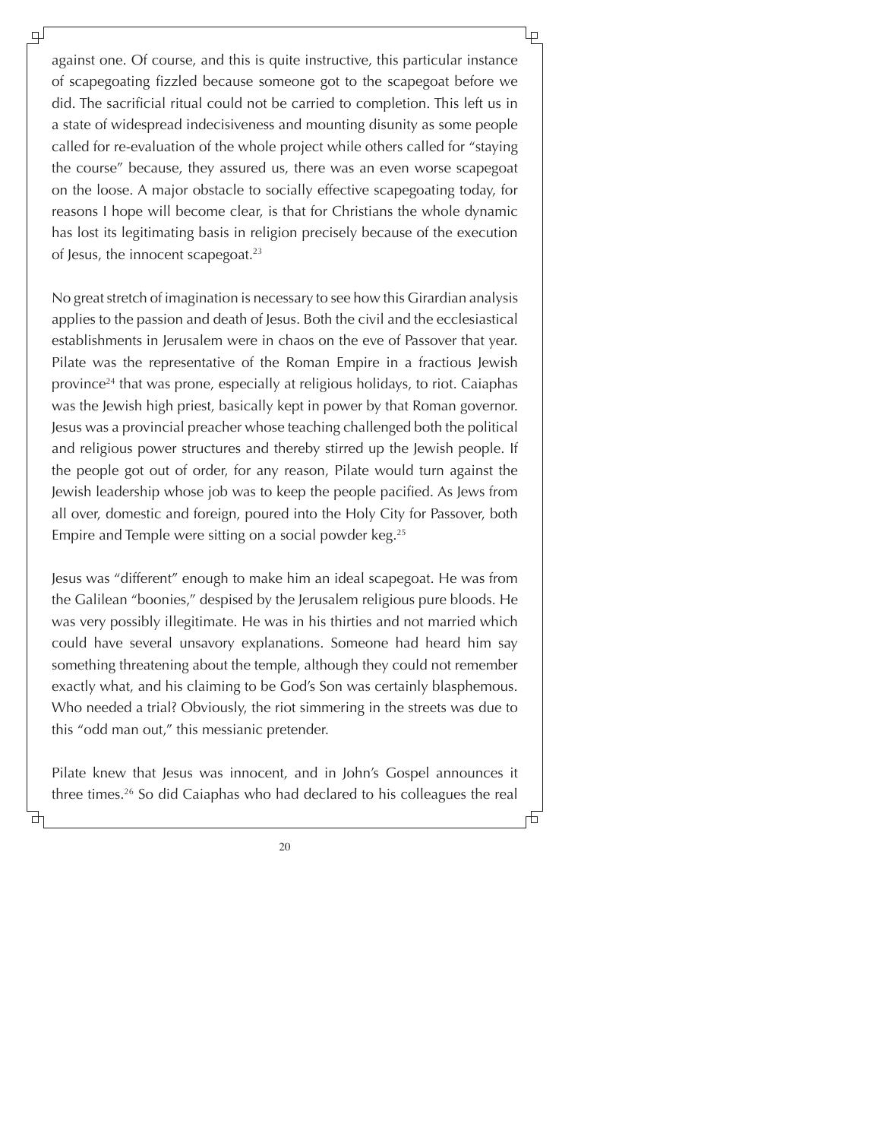against one. Of course, and this is quite instructive, this particular instance of scapegoating fizzled because someone got to the scapegoat before we did. The sacrificial ritual could not be carried to completion. This left us in a state of widespread indecisiveness and mounting disunity as some people called for re-evaluation of the whole project while others called for "staying the course" because, they assured us, there was an even worse scapegoat on the loose. A major obstacle to socially effective scapegoating today, for reasons I hope will become clear, is that for Christians the whole dynamic has lost its legitimating basis in religion precisely because of the execution of Jesus, the innocent scapegoat.<sup>23</sup>

Lр

rЬ

 $\Box$ 

No great stretch of imagination is necessary to see how this Girardian analysis applies to the passion and death of Jesus. Both the civil and the ecclesiastical establishments in Jerusalem were in chaos on the eve of Passover that year. Pilate was the representative of the Roman Empire in a fractious Jewish province24 that was prone, especially at religious holidays, to riot. Caiaphas was the Jewish high priest, basically kept in power by that Roman governor. Jesus was a provincial preacher whose teaching challenged both the political and religious power structures and thereby stirred up the Jewish people. If the people got out of order, for any reason, Pilate would turn against the Jewish leadership whose job was to keep the people pacified. As Jews from all over, domestic and foreign, poured into the Holy City for Passover, both Empire and Temple were sitting on a social powder keg.<sup>25</sup>

Jesus was "different" enough to make him an ideal scapegoat. He was from the Galilean "boonies," despised by the Jerusalem religious pure bloods. He was very possibly illegitimate. He was in his thirties and not married which could have several unsavory explanations. Someone had heard him say something threatening about the temple, although they could not remember exactly what, and his claiming to be God's Son was certainly blasphemous. Who needed a trial? Obviously, the riot simmering in the streets was due to this "odd man out," this messianic pretender.

Pilate knew that Jesus was innocent, and in John's Gospel announces it three times.<sup>26</sup> So did Caiaphas who had declared to his colleagues the real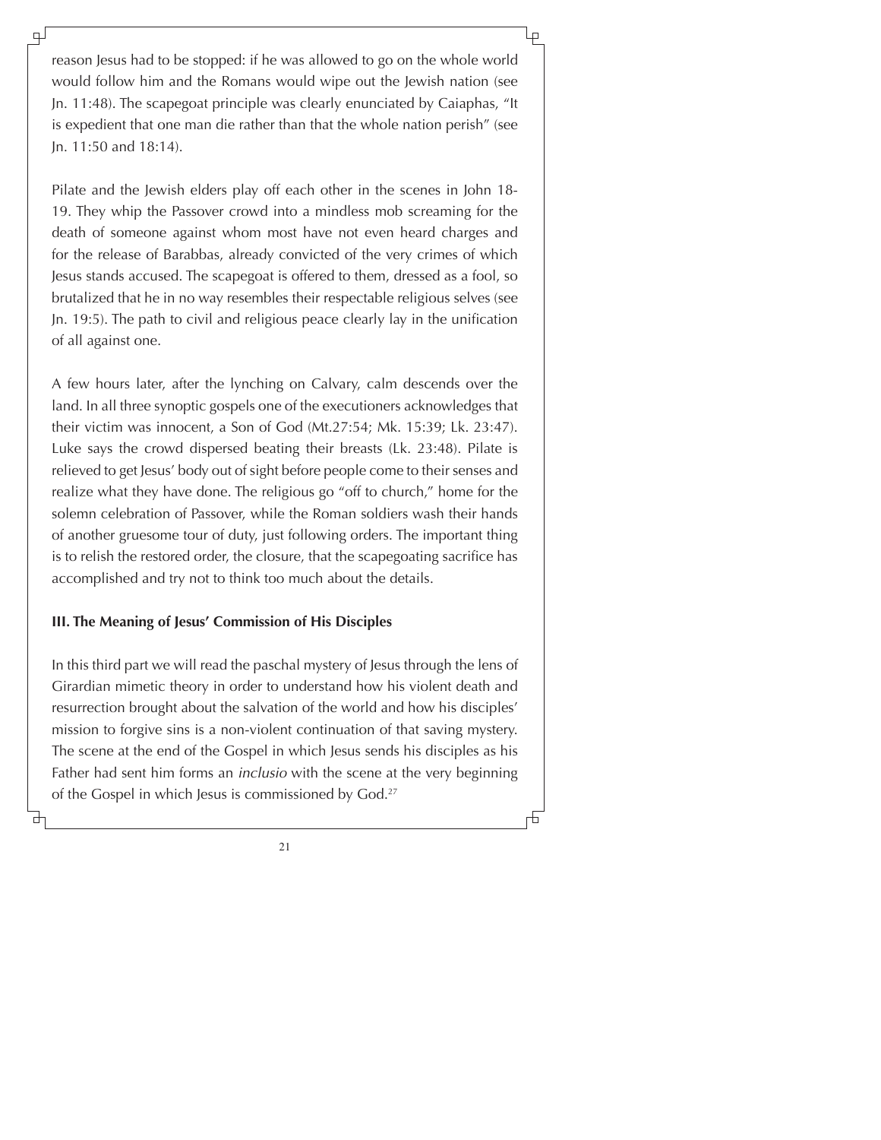reason Jesus had to be stopped: if he was allowed to go on the whole world would follow him and the Romans would wipe out the Jewish nation (see Jn. 11:48). The scapegoat principle was clearly enunciated by Caiaphas, "It is expedient that one man die rather than that the whole nation perish" (see Jn. 11:50 and 18:14).

Lр

⋥

Pilate and the Jewish elders play off each other in the scenes in John 18- 19. They whip the Passover crowd into a mindless mob screaming for the death of someone against whom most have not even heard charges and for the release of Barabbas, already convicted of the very crimes of which Jesus stands accused. The scapegoat is offered to them, dressed as a fool, so brutalized that he in no way resembles their respectable religious selves (see Jn. 19:5). The path to civil and religious peace clearly lay in the unification of all against one.

A few hours later, after the lynching on Calvary, calm descends over the land. In all three synoptic gospels one of the executioners acknowledges that their victim was innocent, a Son of God (Mt.27:54; Mk. 15:39; Lk. 23:47). Luke says the crowd dispersed beating their breasts (Lk. 23:48). Pilate is relieved to get Jesus' body out of sight before people come to their senses and realize what they have done. The religious go "off to church," home for the solemn celebration of Passover, while the Roman soldiers wash their hands of another gruesome tour of duty, just following orders. The important thing is to relish the restored order, the closure, that the scapegoating sacrifice has accomplished and try not to think too much about the details.

## **III. The Meaning of Jesus' Commission of His Disciples**

In this third part we will read the paschal mystery of Jesus through the lens of Girardian mimetic theory in order to understand how his violent death and resurrection brought about the salvation of the world and how his disciples' mission to forgive sins is a non-violent continuation of that saving mystery. The scene at the end of the Gospel in which Jesus sends his disciples as his Father had sent him forms an inclusio with the scene at the very beginning of the Gospel in which Jesus is commissioned by God.<sup>27</sup>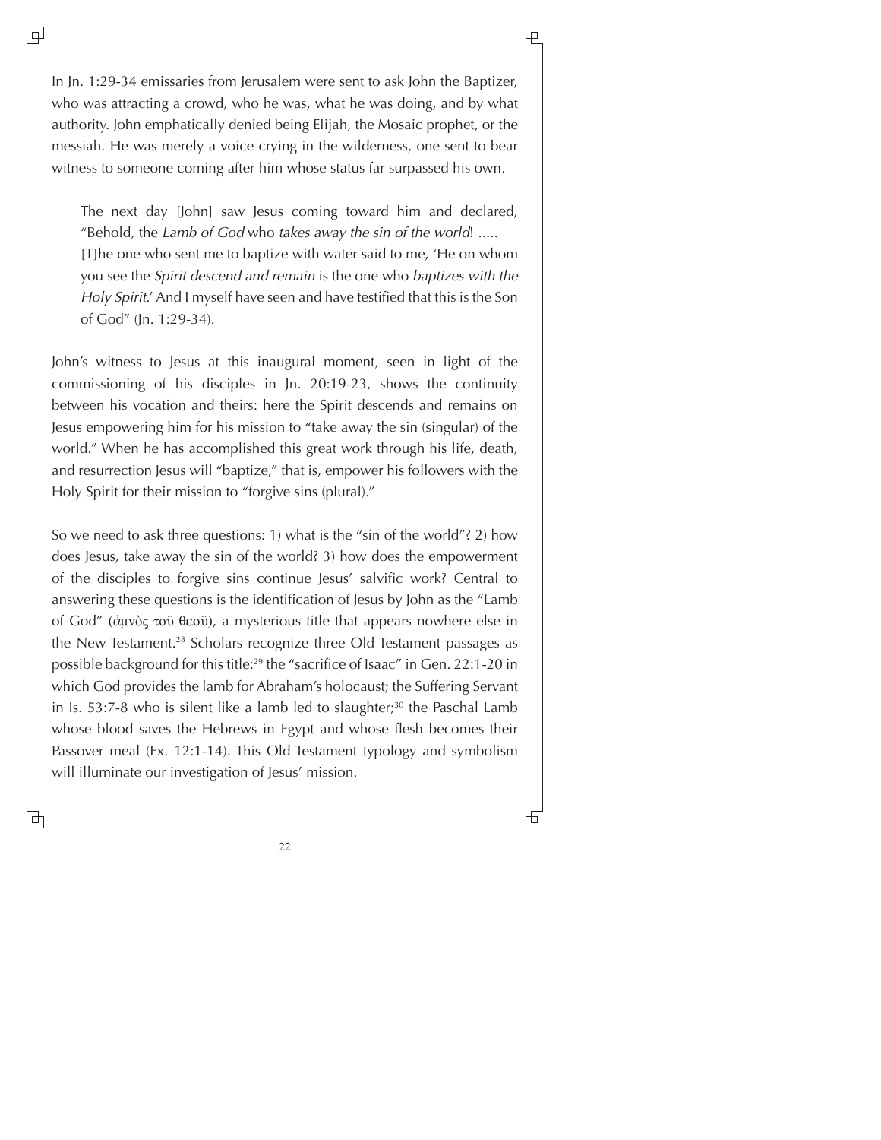In Jn. 1:29-34 emissaries from Jerusalem were sent to ask John the Baptizer, who was attracting a crowd, who he was, what he was doing, and by what authority. John emphatically denied being Elijah, the Mosaic prophet, or the messiah. He was merely a voice crying in the wilderness, one sent to bear witness to someone coming after him whose status far surpassed his own.

Lд

 $\Box$ 

The next day [John] saw Jesus coming toward him and declared, "Behold, the Lamb of God who takes away the sin of the world! ..... [T]he one who sent me to baptize with water said to me, 'He on whom you see the Spirit descend and remain is the one who baptizes with the Holy Spirit.' And I myself have seen and have testified that this is the Son of God" (Jn. 1:29-34).

John's witness to Jesus at this inaugural moment, seen in light of the commissioning of his disciples in Jn. 20:19-23, shows the continuity between his vocation and theirs: here the Spirit descends and remains on Jesus empowering him for his mission to "take away the sin (singular) of the world." When he has accomplished this great work through his life, death, and resurrection Jesus will "baptize," that is, empower his followers with the Holy Spirit for their mission to "forgive sins (plural)."

So we need to ask three questions: 1) what is the "sin of the world"? 2) how does Jesus, take away the sin of the world? 3) how does the empowerment of the disciples to forgive sins continue Jesus' salvific work? Central to answering these questions is the identification of Jesus by John as the "Lamb" of God" ( $\alpha$ μνὸς τοῦ θεοῦ), a mysterious title that appears nowhere else in the New Testament.<sup>28</sup> Scholars recognize three Old Testament passages as possible background for this title:<sup>29</sup> the "sacrifice of Isaac" in Gen. 22:1-20 in which God provides the lamb for Abraham's holocaust; the Suffering Servant in Is.  $53:7-8$  who is silent like a lamb led to slaughter:<sup>30</sup> the Paschal Lamb whose blood saves the Hebrews in Egypt and whose flesh becomes their Passover meal (Ex. 12:1-14). This Old Testament typology and symbolism will illuminate our investigation of Jesus' mission.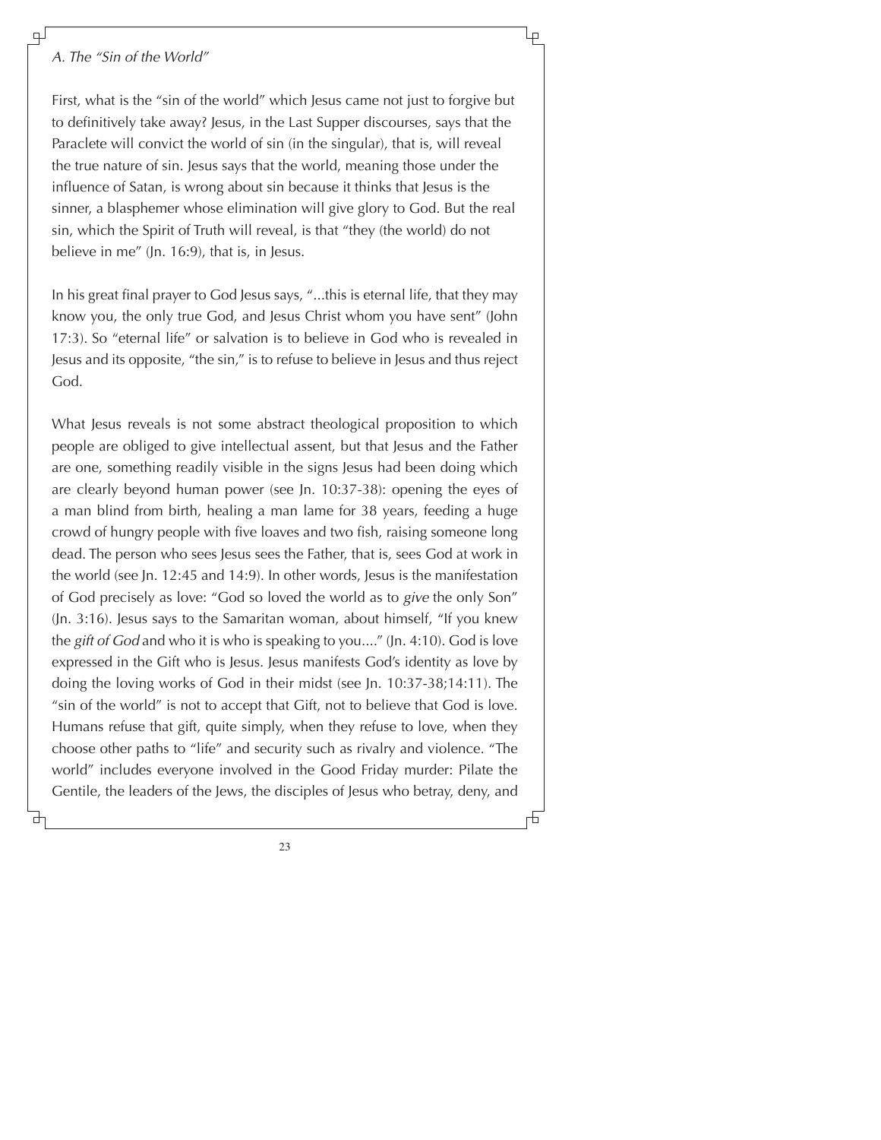#### A. The "Sin of the World"

 $\Box$ 

First, what is the "sin of the world" which Jesus came not just to forgive but to definitively take away? Jesus, in the Last Supper discourses, says that the Paraclete will convict the world of sin (in the singular), that is, will reveal the true nature of sin. Jesus says that the world, meaning those under the in fluence of Satan, is wrong about sin because it thinks that Jesus is the sinner, a blasphemer whose elimination will give glory to God. But the real sin, which the Spirit of Truth will reveal, is that "they (the world) do not believe in me" (Jn. 16:9), that is, in Jesus.

Lр

In his great final prayer to God Jesus says, "...this is eternal life, that they may know you, the only true God, and Jesus Christ whom you have sent" (John 17:3). So "eternal life" or salvation is to believe in God who is revealed in Jesus and its opposite, "the sin," is to refuse to believe in Jesus and thus reject God.

What Jesus reveals is not some abstract theological proposition to which people are obliged to give intellectual assent, but that Jesus and the Father are one, something readily visible in the signs Jesus had been doing which are clearly beyond human power (see Jn. 10:37-38): opening the eyes of a man blind from birth, healing a man lame for 38 years, feeding a huge crowd of hungry people with five loaves and two fish, raising someone long dead. The person who sees Jesus sees the Father, that is, sees God at work in the world (see Jn. 12:45 and 14:9). In other words, Jesus is the manifestation of God precisely as love: "God so loved the world as to give the only Son" (Jn. 3:16). Jesus says to the Samaritan woman, about himself, "If you knew the gift of God and who it is who is speaking to you...." (Jn. 4:10). God is love expressed in the Gift who is Jesus. Jesus manifests God's identity as love by doing the loving works of God in their midst (see Jn. 10:37-38;14:11). The "sin of the world" is not to accept that Gift, not to believe that God is love. Humans refuse that gift, quite simply, when they refuse to love, when they choose other paths to "life" and security such as rivalry and violence. "The world" includes everyone involved in the Good Friday murder: Pilate the Gentile, the leaders of the Jews, the disciples of Jesus who betray, deny, and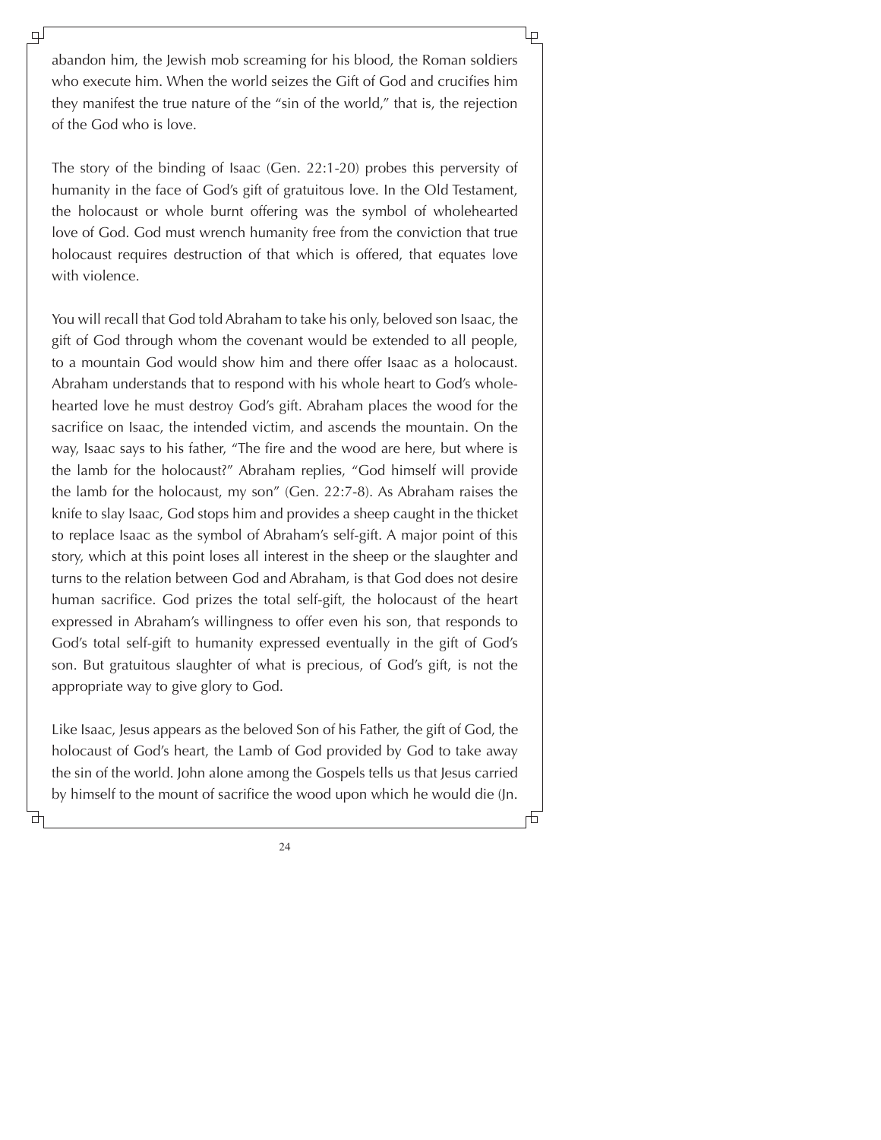abandon him, the Jewish mob screaming for his blood, the Roman soldiers who execute him. When the world seizes the Gift of God and crucifies him they manifest the true nature of the "sin of the world," that is, the rejection of the God who is love.

صا

击

 $\Box$ 

The story of the binding of Isaac (Gen. 22:1-20) probes this perversity of humanity in the face of God's gift of gratuitous love. In the Old Testament, the holocaust or whole burnt offering was the symbol of wholehearted love of God. God must wrench humanity free from the conviction that true holocaust requires destruction of that which is offered, that equates love with violence.

You will recall that God told Abraham to take his only, beloved son Isaac, the gift of God through whom the covenant would be extended to all people, to a mountain God would show him and there offer Isaac as a holocaust. Abraham understands that to respond with his whole heart to God's wholehearted love he must destroy God's gift. Abraham places the wood for the sacrifice on Isaac, the intended victim, and ascends the mountain. On the way, Isaac says to his father, "The fire and the wood are here, but where is the lamb for the holocaust?" Abraham replies, "God himself will provide the lamb for the holocaust, my son" (Gen. 22:7-8). As Abraham raises the knife to slay Isaac, God stops him and provides a sheep caught in the thicket to replace Isaac as the symbol of Abraham's self-gift. A major point of this story, which at this point loses all interest in the sheep or the slaughter and turns to the relation between God and Abraham, is that God does not desire human sacrifice. God prizes the total self-gift, the holocaust of the heart expressed in Abraham's willingness to offer even his son, that responds to God's total self-gift to humanity expressed eventually in the gift of God's son. But gratuitous slaughter of what is precious, of God's gift, is not the appropriate way to give glory to God.

Like Isaac, Jesus appears as the beloved Son of his Father, the gift of God, the holocaust of God's heart, the Lamb of God provided by God to take away the sin of the world. John alone among the Gospels tells us that Jesus carried by himself to the mount of sacrifice the wood upon which he would die (Jn.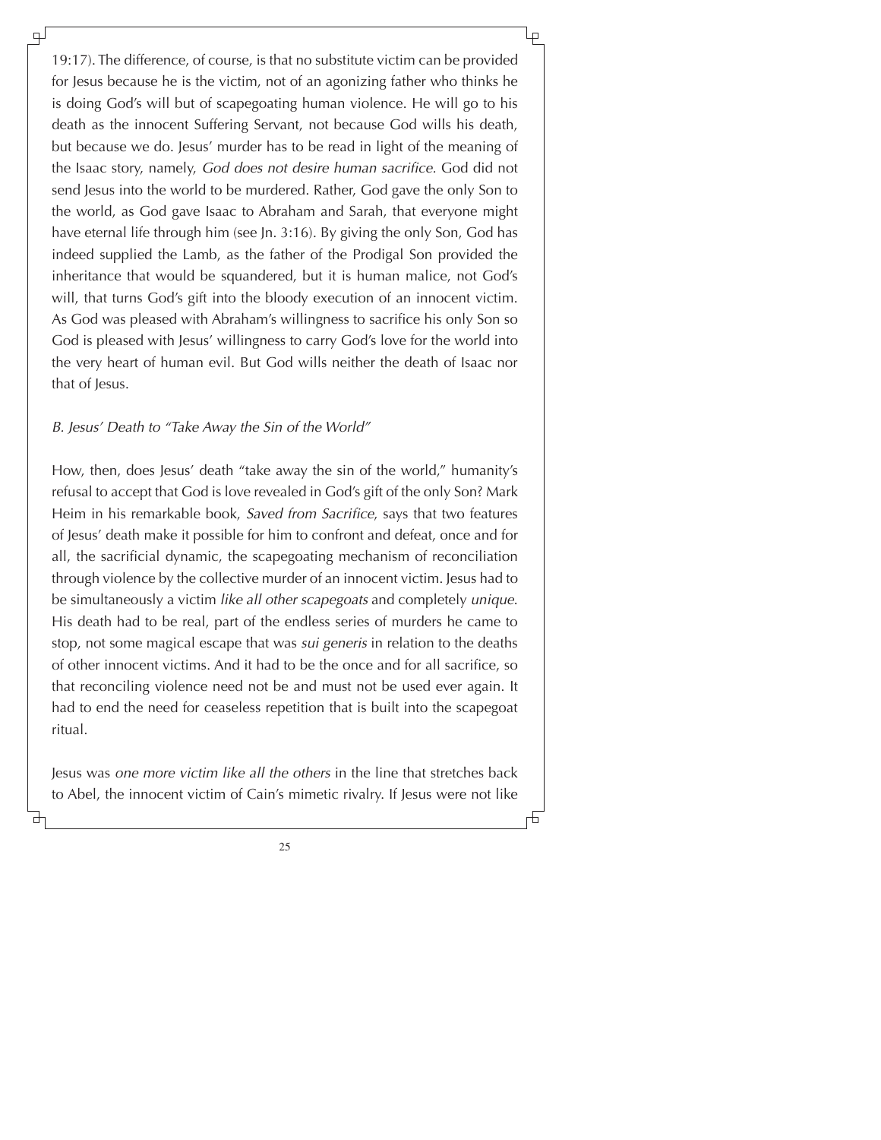19:17). The difference, of course, is that no substitute victim can be provided for Jesus because he is the victim, not of an agonizing father who thinks he is doing God's will but of scapegoating human violence. He will go to his death as the innocent Suffering Servant, not because God wills his death, but because we do. Jesus' murder has to be read in light of the meaning of the Isaac story, namely, God does not desire human sacrifice. God did not send lesus into the world to be murdered. Rather, God gave the only Son to the world, as God gave Isaac to Abraham and Sarah, that everyone might have eternal life through him (see Jn. 3:16). By giving the only Son, God has indeed supplied the Lamb, as the father of the Prodigal Son provided the inheritance that would be squandered, but it is human malice, not God's will, that turns God's gift into the bloody execution of an innocent victim. As God was pleased with Abraham's willingness to sacrifice his only Son so God is pleased with Jesus' willingness to carry God's love for the world into the very heart of human evil. But God wills neither the death of Isaac nor that of lesus.

Lр

### B. Jesus' Death to "Take Away the Sin of the World"

 $\Box$ 

How, then, does Jesus' death "take away the sin of the world," humanity's refusal to accept that God is love revealed in God's gift of the only Son? Mark Heim in his remarkable book, Saved from Sacrifice, says that two features of Jesus' death make it possible for him to confront and defeat, once and for all, the sacrificial dynamic, the scapegoating mechanism of reconciliation through violence by the collective murder of an innocent victim. Jesus had to be simultaneously a victim like all other scapegoats and completely unique. His death had to be real, part of the endless series of murders he came to stop, not some magical escape that was *sui generis* in relation to the deaths of other innocent victims. And it had to be the once and for all sacrifice, so that reconciling violence need not be and must not be used ever again. It had to end the need for ceaseless repetition that is built into the scapegoat ritual.

Jesus was one more victim like all the others in the line that stretches back to Abel, the innocent victim of Cain's mimetic rivalry. If Jesus were not like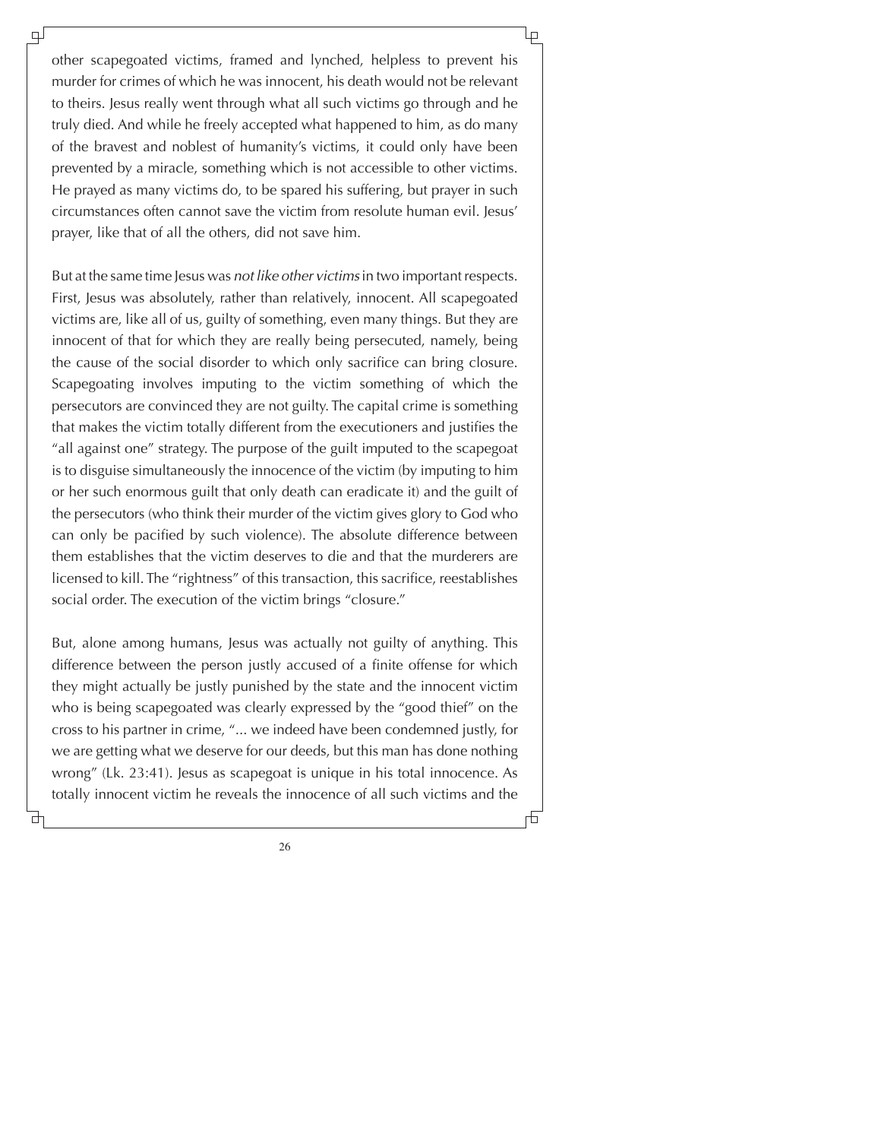other scapegoated victims, framed and lynched, helpless to prevent his murder for crimes of which he was innocent, his death would not be relevant to theirs. Jesus really went through what all such victims go through and he truly died. And while he freely accepted what happened to him, as do many of the bravest and noblest of humanity's victims, it could only have been prevented by a miracle, something which is not accessible to other victims. He prayed as many victims do, to be spared his suffering, but prayer in such circumstances often cannot save the victim from resolute human evil. Jesus' prayer, like that of all the others, did not save him.

Lр

击

 $\Box$ 

But at the same time Jesus was not like other victims in two important respects. First, Jesus was absolutely, rather than relatively, innocent. All scapegoated victims are, like all of us, guilty of something, even many things. But they are innocent of that for which they are really being persecuted, namely, being the cause of the social disorder to which only sacrifice can bring closure. Scapegoating involves imputing to the victim something of which the persecutors are convinced they are not guilty. The capital crime is something that makes the victim totally different from the executioners and justifies the "all against one" strategy. The purpose of the guilt imputed to the scapegoat is to disguise simultaneously the innocence of the victim (by imputing to him or her such enormous guilt that only death can eradicate it) and the guilt of the persecutors (who think their murder of the victim gives glory to God who can only be pacified by such violence). The absolute difference between them establishes that the victim deserves to die and that the murderers are licensed to kill. The "rightness" of this transaction, this sacrifice, reestablishes social order. The execution of the victim brings "closure."

But, alone among humans, Jesus was actually not guilty of anything. This difference between the person justly accused of a finite offense for which they might actually be justly punished by the state and the innocent victim who is being scapegoated was clearly expressed by the "good thief" on the cross to his partner in crime, "... we indeed have been condemned justly, for we are getting what we deserve for our deeds, but this man has done nothing wrong" (Lk. 23:41). Jesus as scapegoat is unique in his total innocence. As totally innocent victim he reveals the innocence of all such victims and the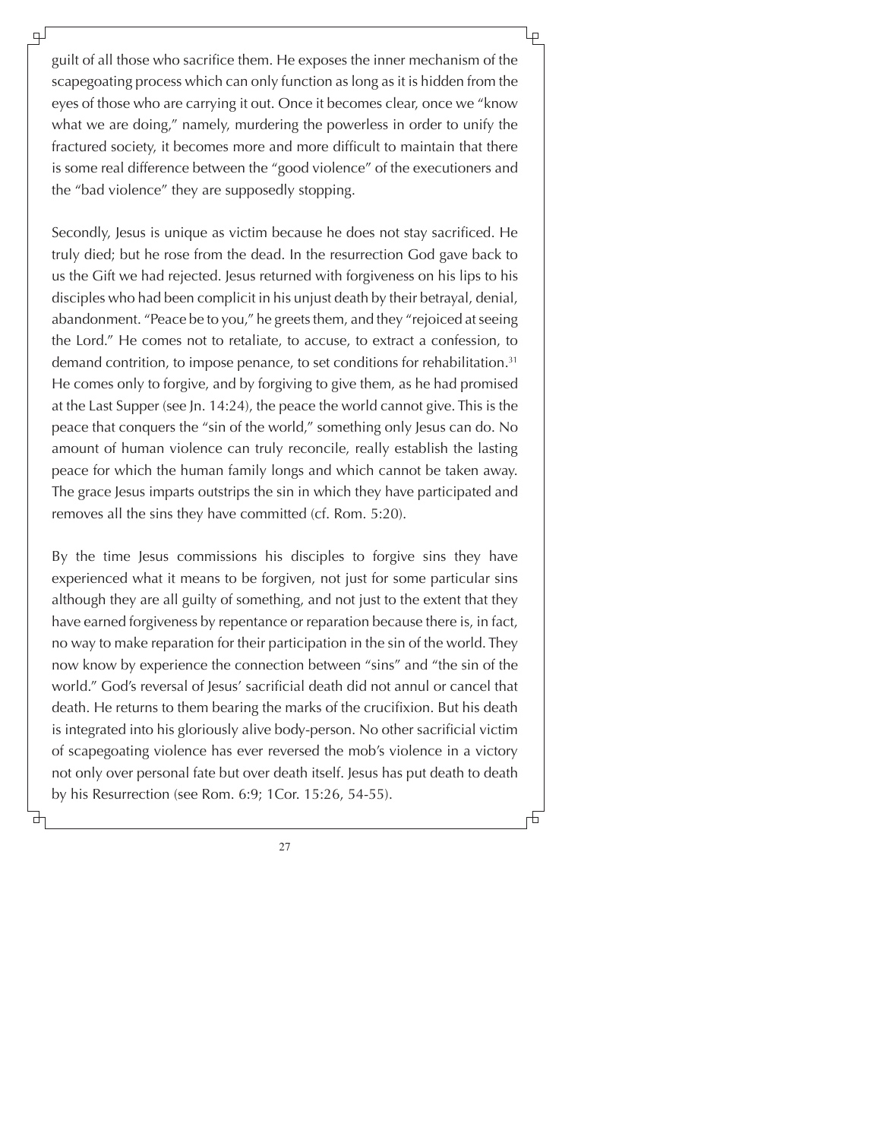guilt of all those who sacrifice them. He exposes the inner mechanism of the scapegoating process which can only function as long as it is hidden from the eyes of those who are carrying it out. Once it becomes clear, once we "know what we are doing," namely, murdering the powerless in order to unify the fractured society, it becomes more and more difficult to maintain that there is some real difference between the "good violence" of the executioners and the "bad violence" they are supposedly stopping.

Lр

 $\Box$ 

Secondly, Jesus is unique as victim because he does not stay sacrificed. He truly died; but he rose from the dead. In the resurrection God gave back to us the Gift we had rejected. Jesus returned with forgiveness on his lips to his disciples who had been complicit in his unjust death by their betrayal, denial, abandonment. "Peace be to you," he greets them, and they "rejoiced at seeing the Lord." He comes not to retaliate, to accuse, to extract a confession, to demand contrition, to impose penance, to set conditions for rehabilitation.<sup>31</sup> He comes only to forgive, and by forgiving to give them, as he had promised at the Last Supper (see Jn. 14:24), the peace the world cannot give. This is the peace that conquers the "sin of the world," something only Jesus can do. No amount of human violence can truly reconcile, really establish the lasting peace for which the human family longs and which cannot be taken away. The grace Jesus imparts outstrips the sin in which they have participated and removes all the sins they have committed (cf. Rom. 5:20).

By the time Jesus commissions his disciples to forgive sins they have experienced what it means to be forgiven, not just for some particular sins although they are all guilty of something, and not just to the extent that they have earned forgiveness by repentance or reparation because there is, in fact, no way to make reparation for their participation in the sin of the world. They now know by experience the connection between "sins" and "the sin of the world." God's reversal of Jesus' sacrificial death did not annul or cancel that death. He returns to them bearing the marks of the crucifixion. But his death is integrated into his gloriously alive body-person. No other sacrificial victim of scapegoating violence has ever reversed the mob's violence in a victory not only over personal fate but over death itself. Jesus has put death to death by his Resurrection (see Rom. 6:9; 1Cor. 15:26, 54-55).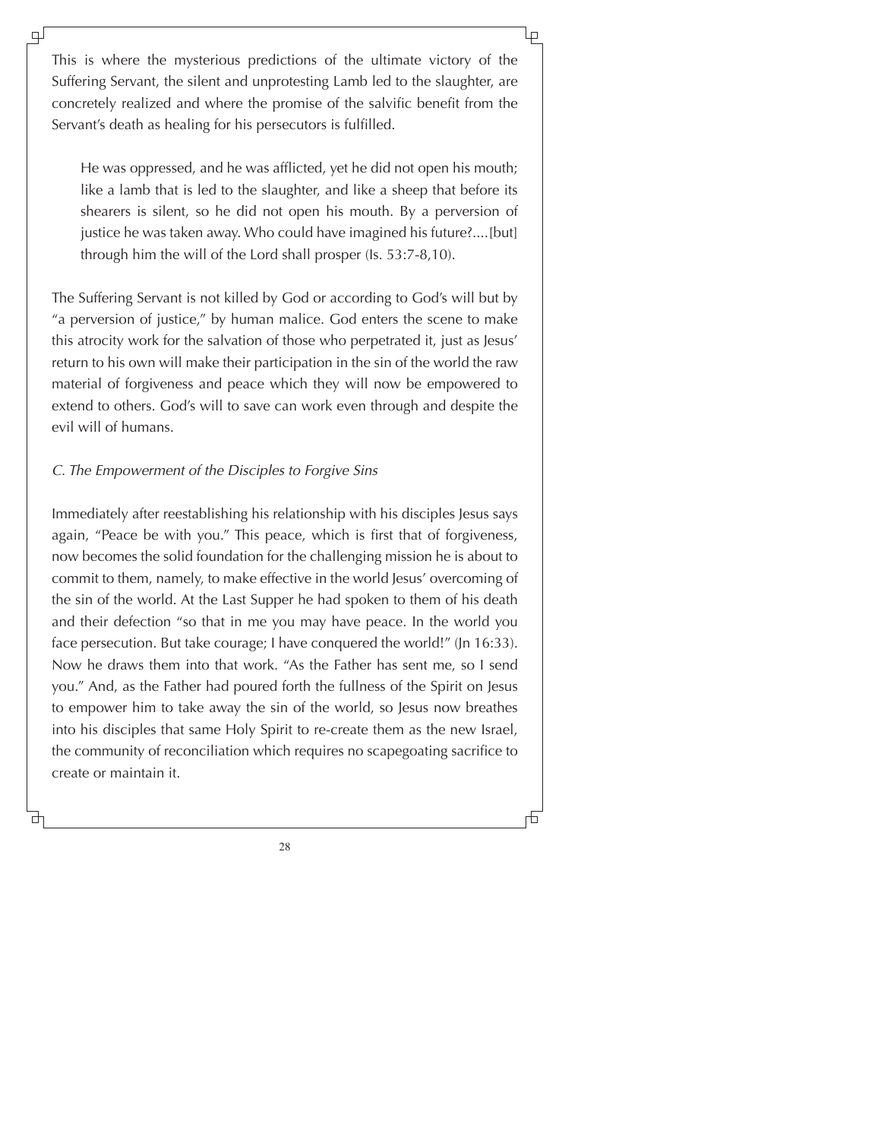This is where the mysterious predictions of the ultimate victory of the Suffering Servant, the silent and unprotesting Lamb led to the slaughter, are concretely realized and where the promise of the salvific benefit from the Servant's death as healing for his persecutors is fulfilled.

Lр

 $\Box$ 

He was oppressed, and he was afflicted, yet he did not open his mouth; like a lamb that is led to the slaughter, and like a sheep that before its shearers is silent, so he did not open his mouth. By a perversion of justice he was taken away. Who could have imagined his future?....[but] through him the will of the Lord shall prosper (Is. 53:7-8,10).

The Suffering Servant is not killed by God or according to God's will but by "a perversion of justice," by human malice. God enters the scene to make this atrocity work for the salvation of those who perpetrated it, just as Jesus' return to his own will make their participation in the sin of the world the raw material of forgiveness and peace which they will now be empowered to extend to others. God's will to save can work even through and despite the evil will of humans.

### C. The Empowerment of the Disciples to Forgive Sins

Immediately after reestablishing his relationship with his disciples Jesus says again, "Peace be with you." This peace, which is first that of forgiveness, now becomes the solid foundation for the challenging mission he is about to commit to them, namely, to make effective in the world Jesus' overcoming of the sin of the world. At the Last Supper he had spoken to them of his death and their defection "so that in me you may have peace. In the world you face persecution. But take courage: I have conquered the world!" (In 16:33). Now he draws them into that work. "As the Father has sent me, so I send you." And, as the Father had poured forth the fullness of the Spirit on Jesus to empower him to take away the sin of the world, so Jesus now breathes into his disciples that same Holy Spirit to re-create them as the new Israel, the community of reconciliation which requires no scapegoating sacrifice to create or maintain it.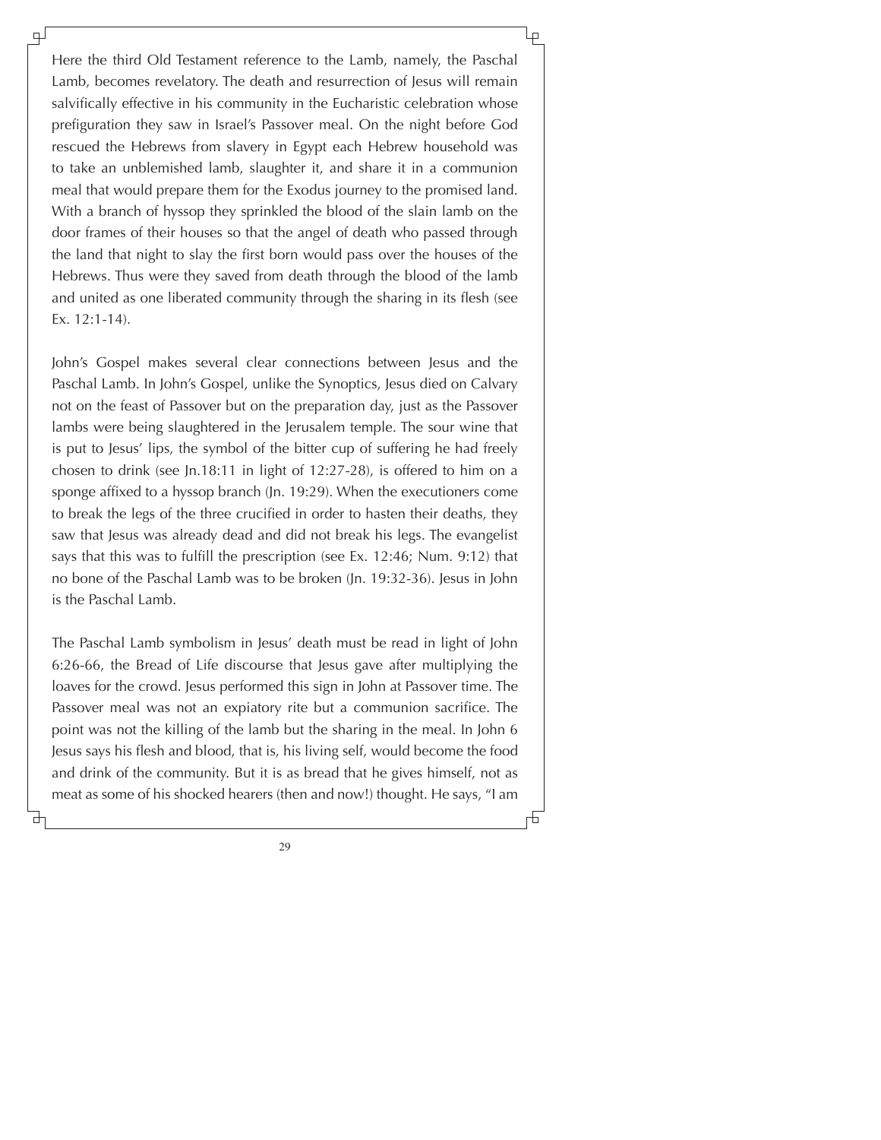Here the third Old Testament reference to the Lamb, namely, the Paschal Lamb, becomes revelatory. The death and resurrection of Jesus will remain salvifically effective in his community in the Eucharistic celebration whose prefiguration they saw in Israel's Passover meal. On the night before God rescued the Hebrews from slavery in Egypt each Hebrew household was to take an unblemished lamb, slaughter it, and share it in a communion meal that would prepare them for the Exodus journey to the promised land. With a branch of hyssop they sprinkled the blood of the slain lamb on the door frames of their houses so that the angel of death who passed through the land that night to slay the first born would pass over the houses of the Hebrews. Thus were they saved from death through the blood of the lamb and united as one liberated community through the sharing in its flesh (see Ex. 12:1-14).

Lр

гb

 $\Box$ 

John's Gospel makes several clear connections between Jesus and the Paschal Lamb. In John's Gospel, unlike the Synoptics, Jesus died on Calvary not on the feast of Passover but on the preparation day, just as the Passover lambs were being slaughtered in the Jerusalem temple. The sour wine that is put to Jesus' lips, the symbol of the bitter cup of suffering he had freely chosen to drink (see In.18:11 in light of  $12:27-28$ ), is offered to him on a sponge affixed to a hyssop branch (Jn. 19:29). When the executioners come to break the legs of the three crucified in order to hasten their deaths, they saw that lesus was already dead and did not break his legs. The evangelist says that this was to fulfill the prescription (see Ex. 12:46; Num. 9:12) that no bone of the Paschal Lamb was to be broken (Jn. 19:32-36). Jesus in John is the Paschal Lamb.

The Paschal Lamb symbolism in Jesus' death must be read in light of John 6:26-66, the Bread of Life discourse that Jesus gave after multiplying the loaves for the crowd. Jesus performed this sign in John at Passover time. The Passover meal was not an expiatory rite but a communion sacrifice. The point was not the killing of the lamb but the sharing in the meal. In John 6 Jesus says his flesh and blood, that is, his living self, would become the food and drink of the community. But it is as bread that he gives himself, not as meat as some of his shocked hearers (then and now!) thought. He says, "I am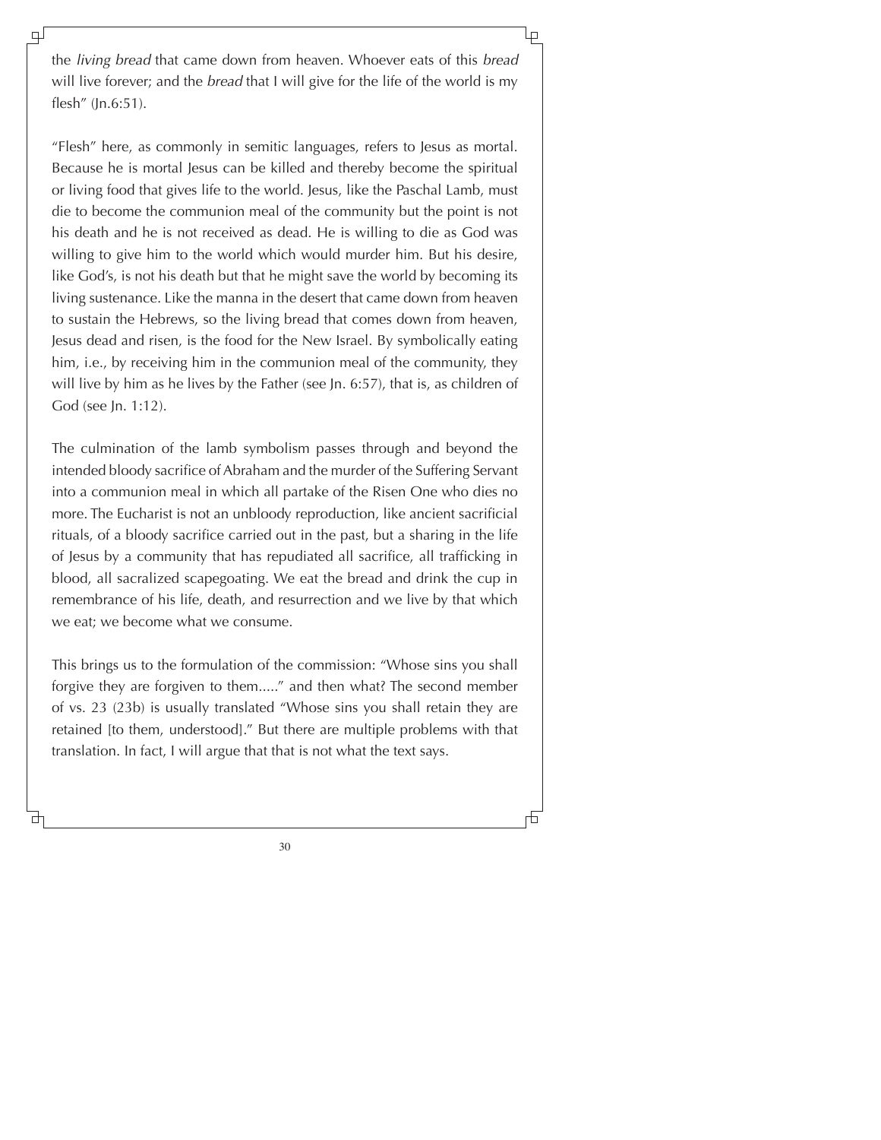the living bread that came down from heaven. Whoever eats of this bread will live forever; and the *bread* that I will give for the life of the world is my flesh" ( $ln.6:51$ ).

ᅟᆷ

 $\Box$ 

寸

"Flesh" here, as commonly in semitic languages, refers to Jesus as mortal. Because he is mortal Jesus can be killed and thereby become the spiritual or living food that gives life to the world. Jesus, like the Paschal Lamb, must die to become the communion meal of the community but the point is not his death and he is not received as dead. He is willing to die as God was willing to give him to the world which would murder him. But his desire, like God's, is not his death but that he might save the world by becoming its living sustenance. Like the manna in the desert that came down from heaven to sustain the Hebrews, so the living bread that comes down from heaven, Jesus dead and risen, is the food for the New Israel. By symbolically eating him, i.e., by receiving him in the communion meal of the community, they will live by him as he lives by the Father (see In, 6:57), that is, as children of God (see Jn. 1:12).

The culmination of the lamb symbolism passes through and beyond the intended bloody sacrifice of Abraham and the murder of the Suffering Servant into a communion meal in which all partake of the Risen One who dies no more. The Eucharist is not an unbloody reproduction, like ancient sacrificial rituals, of a bloody sacrifice carried out in the past, but a sharing in the life of Jesus by a community that has repudiated all sacrifice, all trafficking in blood, all sacralized scapegoating. We eat the bread and drink the cup in remembrance of his life, death, and resurrection and we live by that which we eat; we become what we consume.

This brings us to the formulation of the commission: "Whose sins you shall forgive they are forgiven to them....." and then what? The second member of vs. 23 (23b) is usually translated "Whose sins you shall retain they are retained [to them, understood]." But there are multiple problems with that translation. In fact, I will argue that that is not what the text says.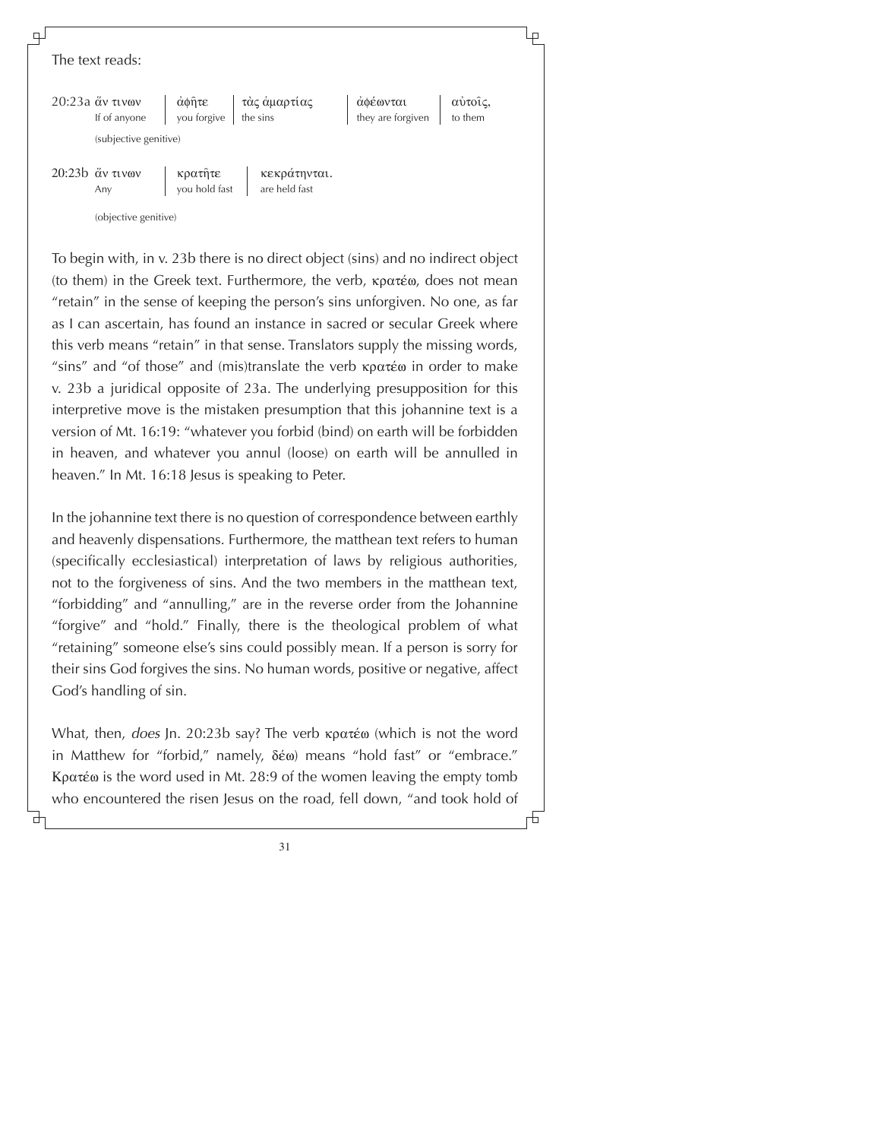

To begin with, in v. 23b there is no direct object (sins) and no indirect object (to them) in the Greek text. Furthermore, the verb,  $\kappa$ patéo, does not mean "retain" in the sense of keeping the person's sins unforgiven. No one, as far as I can ascertain, has found an instance in sacred or secular Greek where this verb means "retain" in that sense. Translators supply the missing words, "sins" and "of those" and (mis)translate the verb  $\kappa$  pateuring order to make v. 23b a juridical opposite of 23a. The underlying presupposition for this interpretive move is the mistaken presumption that this johannine text is a version of Mt. 16:19: "whatever you forbid (bind) on earth will be forbidden in heaven, and whatever you annul (loose) on earth will be annulled in heaven." In Mt. 16:18 lesus is speaking to Peter.

In the johannine text there is no question of correspondence between earthly and heavenly dispensations. Furthermore, the matthean text refers to human (specifically ecclesiastical) interpretation of laws by religious authorities, not to the forgiveness of sins. And the two members in the matthean text, "forbidding" and "annulling," are in the reverse order from the Johannine "forgive" and "hold." Finally, there is the theological problem of what "retaining" someone else's sins could possibly mean. If a person is sorry for their sins God forgives the sins. No human words, positive or negative, affect God's handling of sin.

What, then, does Jn. 20:23b say? The verb  $\kappa$   $\alpha \tau \notin \mathcal{C}$  (which is not the word in Matthew for "forbid," namely,  $\delta \notin \infty$ ) means "hold fast" or "embrace." Kρατέω is the word used in Mt. 28:9 of the women leaving the empty tomb who encountered the risen Jesus on the road, fell down, "and took hold of

₽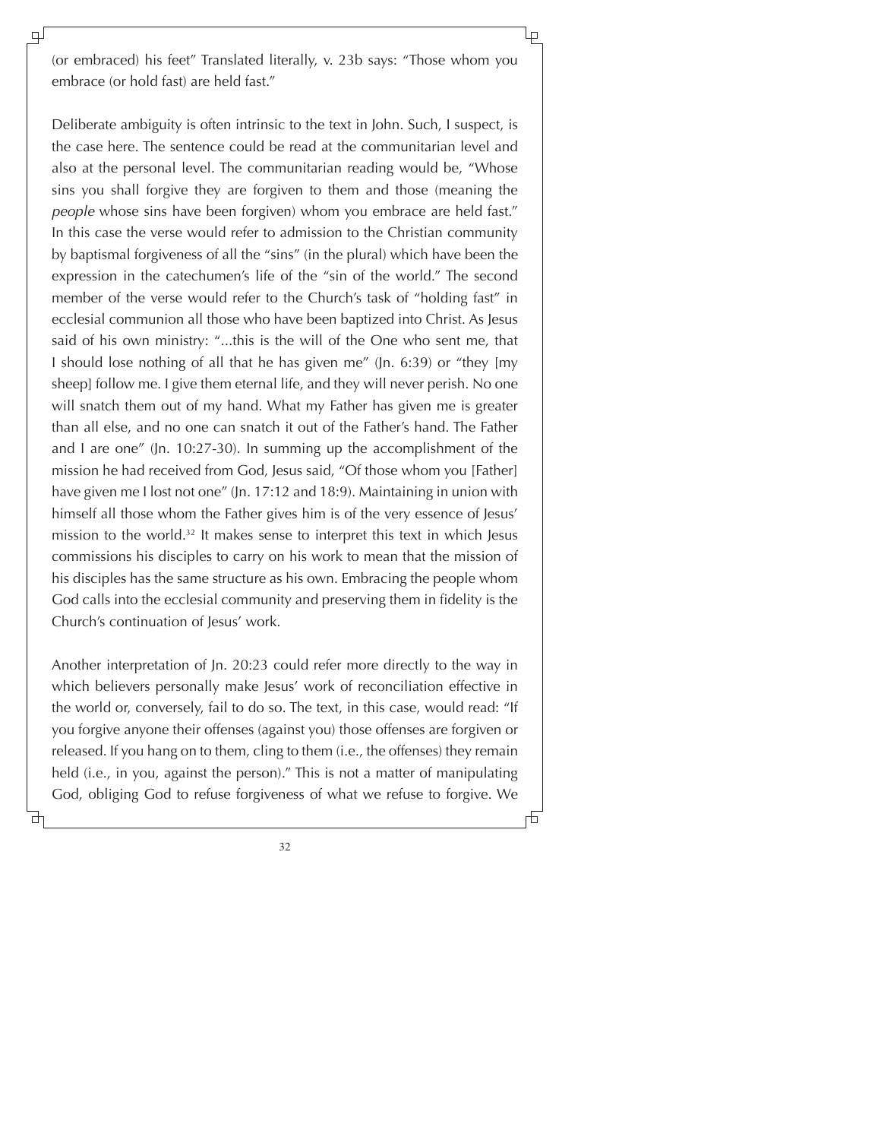(or embraced) his feet" Translated literally, v. 23b says: "Those whom you embrace (or hold fast) are held fast."

صا

击

 $\Box$ 

Deliberate ambiguity is often intrinsic to the text in John. Such, I suspect, is the case here. The sentence could be read at the communitarian level and also at the personal level. The communitarian reading would be, "Whose sins you shall forgive they are forgiven to them and those (meaning the people whose sins have been forgiven) whom you embrace are held fast." In this case the verse would refer to admission to the Christian community by baptismal forgiveness of all the "sins" (in the plural) which have been the expression in the catechumen's life of the "sin of the world." The second member of the verse would refer to the Church's task of "holding fast" in ecclesial communion all those who have been baptized into Christ. As Jesus said of his own ministry: "...this is the will of the One who sent me, that I should lose nothing of all that he has given me" (Jn. 6:39) or "they [my sheep] follow me. I give them eternal life, and they will never perish. No one will snatch them out of my hand. What my Father has given me is greater than all else, and no one can snatch it out of the Father's hand. The Father and I are one" (Jn. 10:27-30). In summing up the accomplishment of the mission he had received from God, Jesus said, "Of those whom you [Father] have given me I lost not one" (Jn. 17:12 and 18:9). Maintaining in union with himself all those whom the Father gives him is of the very essence of Jesus' mission to the world.<sup>32</sup> It makes sense to interpret this text in which Jesus commissions his disciples to carry on his work to mean that the mission of his disciples has the same structure as his own. Embracing the people whom God calls into the ecclesial community and preserving them in fidelity is the Church's continuation of Jesus' work.

Another interpretation of Jn. 20:23 could refer more directly to the way in which believers personally make Jesus' work of reconciliation effective in the world or, conversely, fail to do so. The text, in this case, would read: "If you forgive anyone their offenses (against you) those offenses are forgiven or released. If you hang on to them, cling to them (i.e., the offenses) they remain held (i.e., in you, against the person)." This is not a matter of manipulating God, obliging God to refuse forgiveness of what we refuse to forgive. We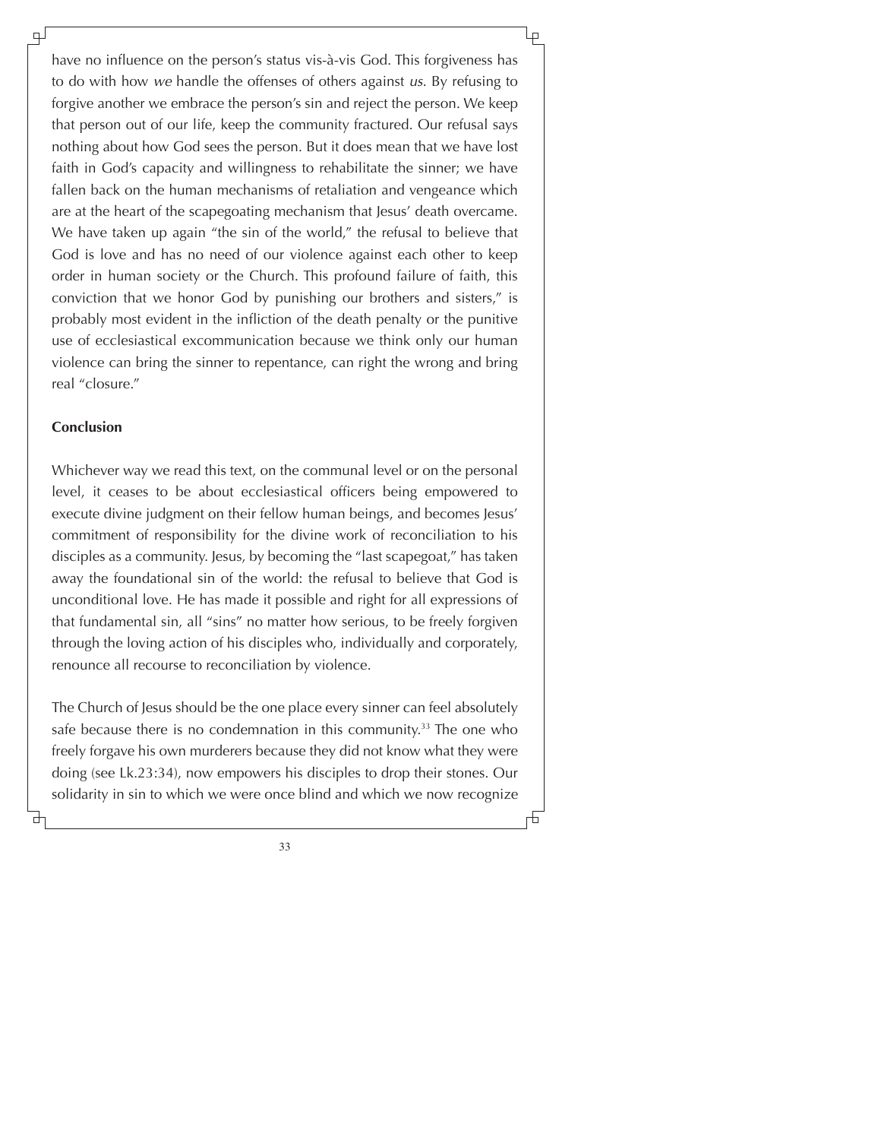have no influence on the person's status vis-à-vis God. This forgiveness has to do with how we handle the offenses of others against us. By refusing to forgive another we embrace the person's sin and reject the person. We keep that person out of our life, keep the community fractured. Our refusal says nothing about how God sees the person. But it does mean that we have lost faith in God's capacity and willingness to rehabilitate the sinner; we have fallen back on the human mechanisms of retaliation and vengeance which are at the heart of the scapegoating mechanism that Jesus' death overcame. We have taken up again "the sin of the world," the refusal to believe that God is love and has no need of our violence against each other to keep order in human society or the Church. This profound failure of faith, this conviction that we honor God by punishing our brothers and sisters," is probably most evident in the infliction of the death penalty or the punitive use of ecclesiastical excommunication because we think only our human violence can bring the sinner to repentance, can right the wrong and bring real "closure."

Lр

## **Conclusion**

 $\Box$ 

Whichever way we read this text, on the communal level or on the personal level, it ceases to be about ecclesiastical officers being empowered to execute divine judgment on their fellow human beings, and becomes Jesus' commitment of responsibility for the divine work of reconciliation to his disciples as a community. Jesus, by becoming the "last scapegoat," has taken away the foundational sin of the world: the refusal to believe that God is unconditional love. He has made it possible and right for all expressions of that fundamental sin, all "sins" no matter how serious, to be freely forgiven through the loving action of his disciples who, individually and corporately, renounce all recourse to reconciliation by violence.

The Church of Jesus should be the one place every sinner can feel absolutely safe because there is no condemnation in this community.<sup>33</sup> The one who freely forgave his own murderers because they did not know what they were doing (see Lk.23:34), now empowers his disciples to drop their stones. Our solidarity in sin to which we were once blind and which we now recognize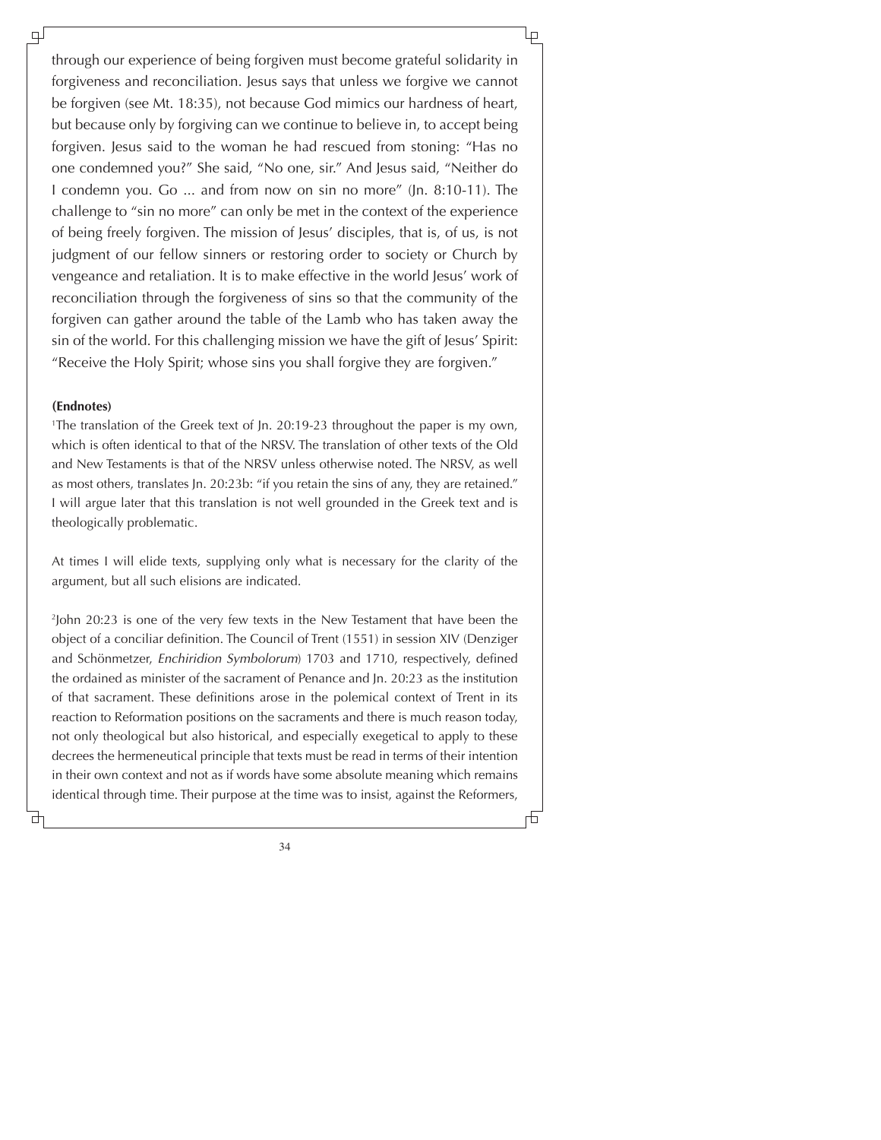through our experience of being forgiven must become grateful solidarity in forgiveness and reconciliation. Jesus says that unless we forgive we cannot be forgiven (see Mt. 18:35), not because God mimics our hardness of heart, but because only by forgiving can we continue to believe in, to accept being forgiven. Jesus said to the woman he had rescued from stoning: "Has no one condemned you?" She said, "No one, sir." And Jesus said, "Neither do I condemn you. Go ... and from now on sin no more" (Jn. 8:10-11). The challenge to "sin no more" can only be met in the context of the experience of being freely forgiven. The mission of Jesus' disciples, that is, of us, is not judgment of our fellow sinners or restoring order to society or Church by vengeance and retaliation. It is to make effective in the world Jesus' work of reconciliation through the forgiveness of sins so that the community of the forgiven can gather around the table of the Lamb who has taken away the sin of the world. For this challenging mission we have the gift of Jesus' Spirit: "Receive the Holy Spirit; whose sins you shall forgive they are forgiven."

صا

市

#### **(Endnotes)**

 $\Box$ 

1 The translation of the Greek text of Jn. 20:19-23 throughout the paper is my own, which is often identical to that of the NRSV. The translation of other texts of the Old and New Testaments is that of the NRSV unless otherwise noted. The NRSV, as well as most others, translates Jn. 20:23b: "if you retain the sins of any, they are retained." I will argue later that this translation is not well grounded in the Greek text and is theologically problematic.

At times I will elide texts, supplying only what is necessary for the clarity of the argument, but all such elisions are indicated.

2 John 20:23 is one of the very few texts in the New Testament that have been the object of a conciliar definition. The Council of Trent (1551) in session XIV (Denziger and Schönmetzer, Enchiridion Symbolorum) 1703 and 1710, respectively, defined the ordained as minister of the sacrament of Penance and Jn. 20:23 as the institution of that sacrament. These definitions arose in the polemical context of Trent in its reaction to Reformation positions on the sacraments and there is much reason today, not only theological but also historical, and especially exegetical to apply to these decrees the hermeneutical principle that texts must be read in terms of their intention in their own context and not as if words have some absolute meaning which remains identical through time. Their purpose at the time was to insist, against the Reformers,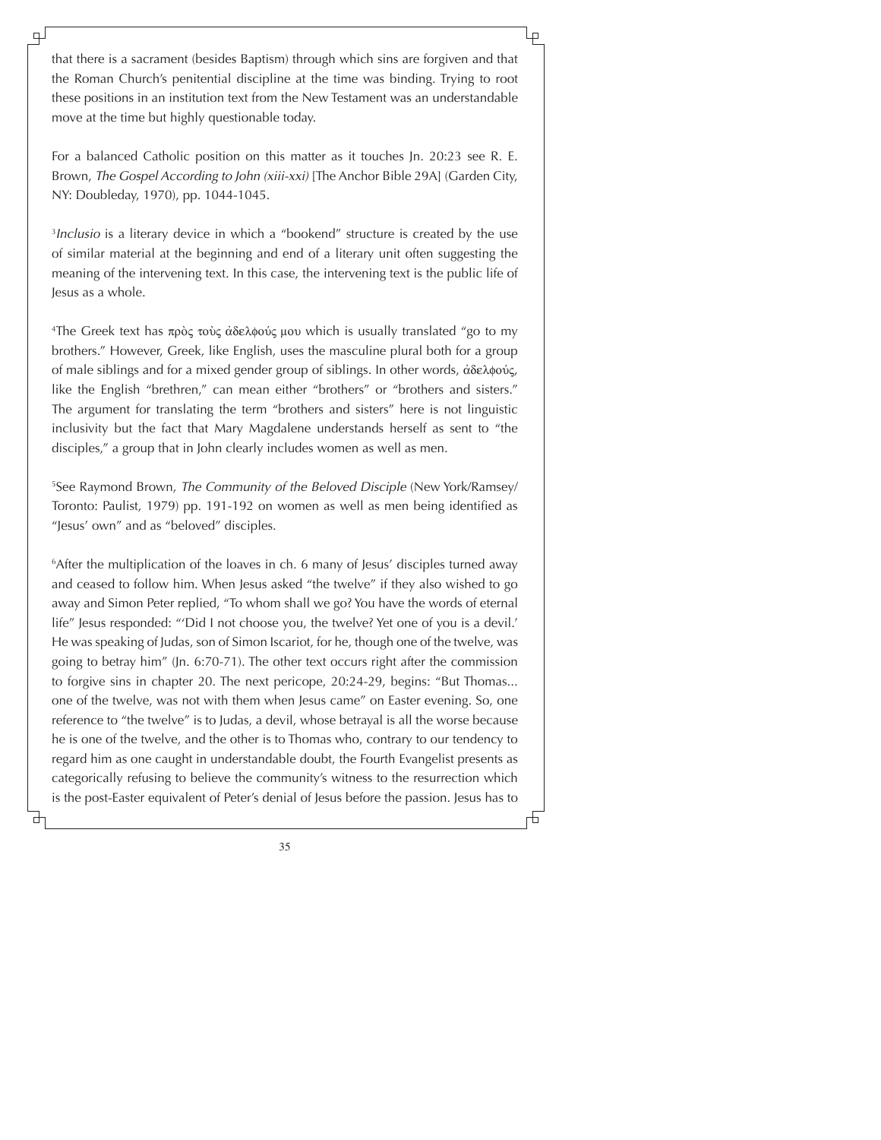that there is a sacrament (besides Baptism) through which sins are forgiven and that the Roman Church's penitential discipline at the time was binding. Trying to root these positions in an institution text from the New Testament was an understandable move at the time but highly questionable today.

Lр

 $\Box$ 

For a balanced Catholic position on this matter as it touches Jn. 20:23 see R. E. Brown, The Gospel According to John (xiii-xxi) [The Anchor Bible 29A] (Garden City, NY: Doubleday, 1970), pp. 1044-1045.

3 Inclusio is a literary device in which a "bookend" structure is created by the use of similar material at the beginning and end of a literary unit often suggesting the meaning of the intervening text. In this case, the intervening text is the public life of Jesus as a whole.

<sup>4</sup>The Greek text has πρὸς τοὺς ἀδελφούς μου which is usually translated "go to my brothers." However, Greek, like English, uses the masculine plural both for a group of male siblings and for a mixed gender group of siblings. In other words,  $\dot{\alpha}$  $\delta \epsilon \lambda \phi$ ov $\zeta$ , like the English "brethren," can mean either "brothers" or "brothers and sisters." The argument for translating the term "brothers and sisters" here is not linguistic inclusivity but the fact that Mary Magdalene understands herself as sent to "the disciples," a group that in John clearly includes women as well as men.

<sup>5</sup>See Raymond Brown*, The Community of the Beloved Disciple* (New York/Ramsey/ Toronto: Paulist, 1979) pp. 191-192 on women as well as men being identified as "Jesus' own" and as "beloved" disciples.

6 After the multiplication of the loaves in ch. 6 many of Jesus' disciples turned away and ceased to follow him. When Jesus asked "the twelve" if they also wished to go away and Simon Peter replied, "To whom shall we go? You have the words of eternal life" Jesus responded: "'Did I not choose you, the twelve? Yet one of you is a devil.' He was speaking of Judas, son of Simon Iscariot, for he, though one of the twelve, was going to betray him" (Jn. 6:70-71). The other text occurs right after the commission to forgive sins in chapter 20. The next pericope, 20:24-29, begins: "But Thomas... one of the twelve, was not with them when Jesus came" on Easter evening. So, one reference to "the twelve" is to Judas, a devil, whose betrayal is all the worse because he is one of the twelve, and the other is to Thomas who, contrary to our tendency to regard him as one caught in understandable doubt, the Fourth Evangelist presents as categorically refusing to believe the community's witness to the resurrection which is the post-Easter equivalent of Peter's denial of Jesus before the passion. Jesus has to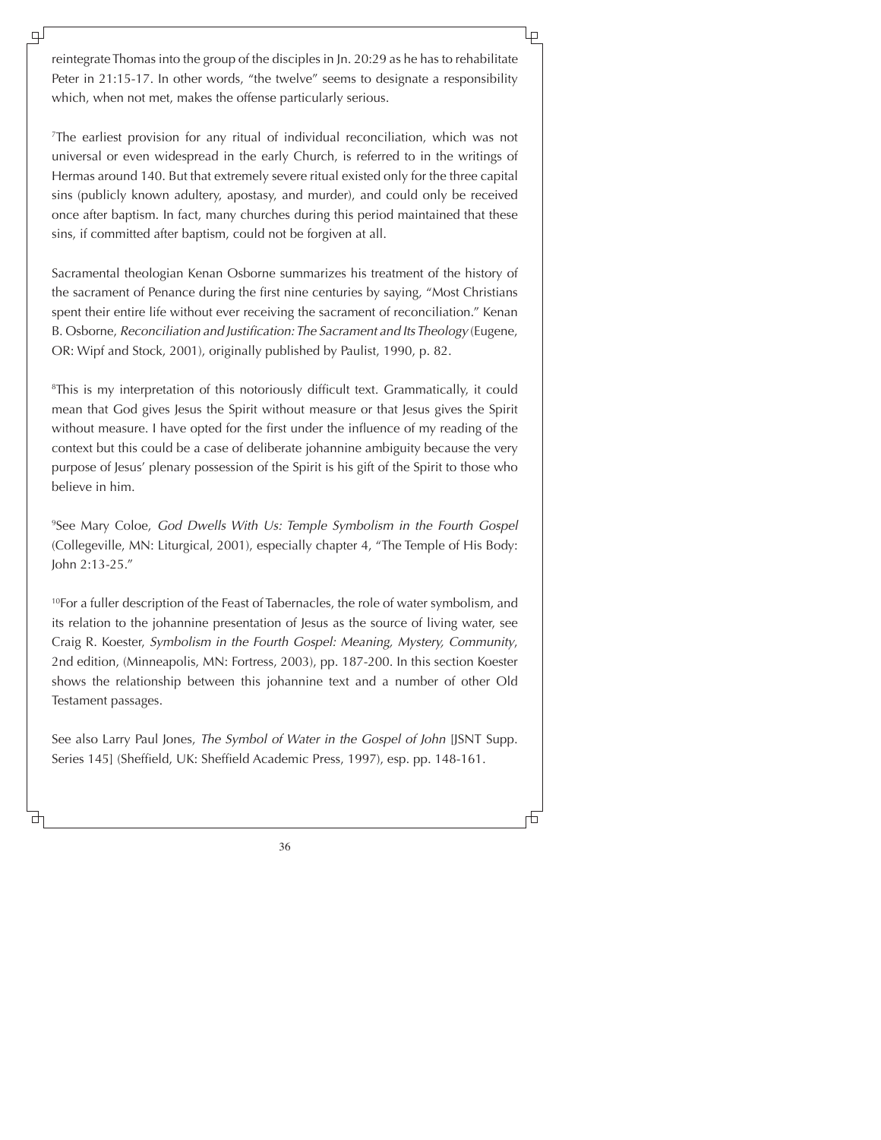reintegrate Thomas into the group of the disciples in Jn. 20:29 as he has to rehabilitate Peter in 21:15-17. In other words, "the twelve" seems to designate a responsibility which, when not met, makes the offense particularly serious.

 $\Box$ 

 $\Box$ 

г†

7 The earliest provision for any ritual of individual reconciliation, which was not universal or even widespread in the early Church, is referred to in the writings of Hermas around 140. But that extremely severe ritual existed only for the three capital sins (publicly known adultery, apostasy, and murder), and could only be received once after baptism. In fact, many churches during this period maintained that these sins, if committed after baptism, could not be forgiven at all.

Sacramental theologian Kenan Osborne summarizes his treatment of the history of the sacrament of Penance during the first nine centuries by saying, "Most Christians spent their entire life without ever receiving the sacrament of reconciliation." Kenan B. Osborne, Reconciliation and Justification: The Sacrament and Its Theology (Eugene, OR: Wipf and Stock, 2001), originally published by Paulist, 1990, p. 82.

<sup>8</sup>This is my interpretation of this notoriously difficult text. Grammatically, it could mean that God gives Jesus the Spirit without measure or that Jesus gives the Spirit without measure. I have opted for the first under the influence of my reading of the context but this could be a case of deliberate johannine ambiguity because the very purpose of Jesus' plenary possession of the Spirit is his gift of the Spirit to those who believe in him.

9 See Mary Coloe, God Dwells With Us: Temple Symbolism in the Fourth Gospel (Collegeville, MN: Liturgical, 2001), especially chapter 4, "The Temple of His Body: John 2:13-25."

 $10$ For a fuller description of the Feast of Tabernacles, the role of water symbolism, and its relation to the johannine presentation of lesus as the source of living water, see Craig R. Koester, Symbolism in the Fourth Gospel: Meaning, Mystery, Community, 2nd edition, (Minneapolis, MN: Fortress, 2003), pp. 187-200. In this section Koester shows the relationship between this johannine text and a number of other Old Testament passages.

See also Larry Paul Jones, The Symbol of Water in the Gospel of John [JSNT Supp. Series 1451 (Sheffield, UK: Sheffield Academic Press, 1997), esp. pp. 148-161.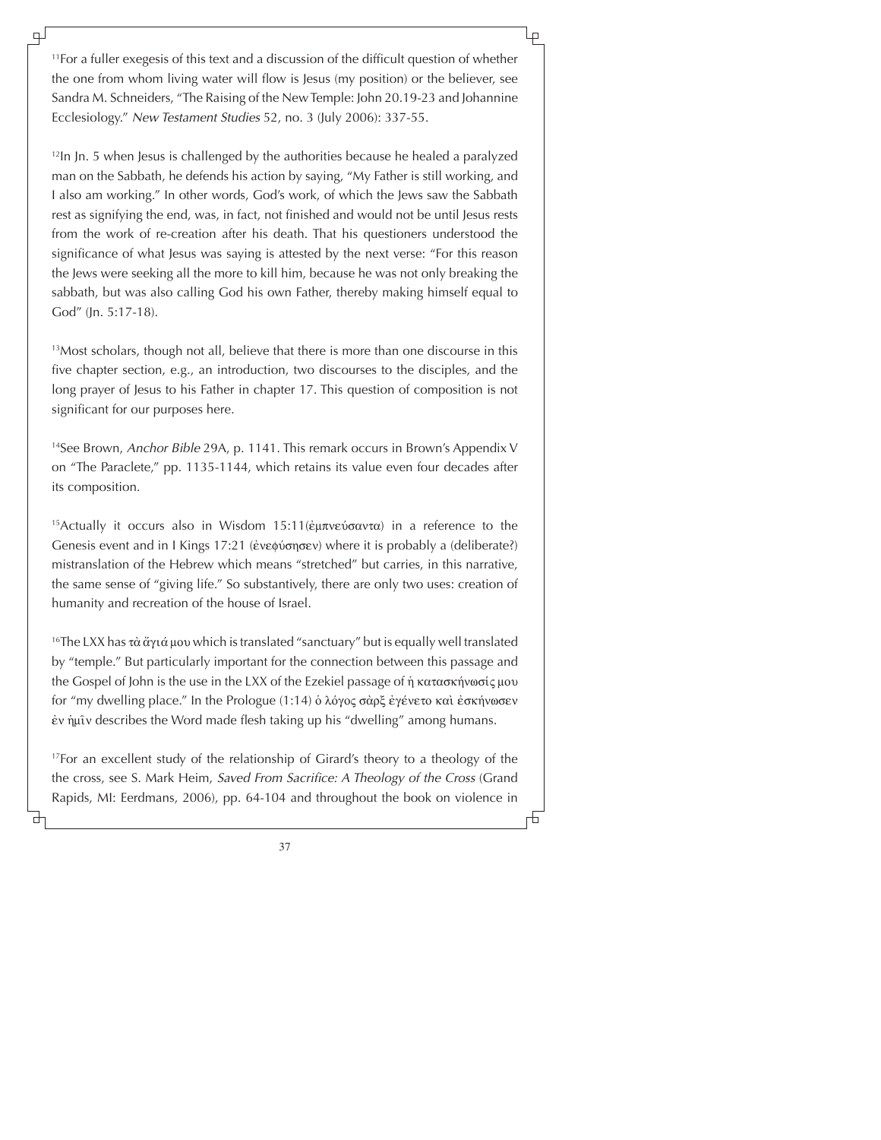$11$  For a fuller exegesis of this text and a discussion of the difficult question of whether the one from whom living water will flow is Jesus (my position) or the believer, see Sandra M. Schneiders, "The Raising of the New Temple: John 20.19-23 and Johannine Ecclesiology." New Testament Studies 52, no. 3 (July 2006): 337-55.

صا

 $\Box$ 

 $12$ In Jn. 5 when Jesus is challenged by the authorities because he healed a paralyzed man on the Sabbath, he defends his action by saying, "My Father is still working, and I also am working." In other words, God's work, of which the Jews saw the Sabbath rest as signifying the end, was, in fact, not finished and would not be until Jesus rests from the work of re-creation after his death. That his questioners understood the significance of what Jesus was saying is attested by the next verse: "For this reason the Jews were seeking all the more to kill him, because he was not only breaking the sabbath, but was also calling God his own Father, thereby making himself equal to God" (Jn. 5:17-18).

<sup>13</sup>Most scholars, though not all, believe that there is more than one discourse in this five chapter section, e.g., an introduction, two discourses to the disciples, and the long prayer of Jesus to his Father in chapter 17. This question of composition is not significant for our purposes here.

<sup>14</sup>See Brown, Anchor Bible 29A, p. 1141. This remark occurs in Brown's Appendix V on "The Paraclete," pp. 1135-1144, which retains its value even four decades after its composition.

<sup>15</sup>Actually it occurs also in Wisdom 15:11( $\dot{\epsilon}$ μπνεύσαντα) in a reference to the Genesis event and in I Kings 17:21 ( $\epsilon$ νεφύσησεν) where it is probably a (deliberate?) mistranslation of the Hebrew which means "stretched" but carries, in this narrative, the same sense of "giving life." So substantively, there are only two uses: creation of humanity and recreation of the house of Israel.

<sup>16</sup>The LXX has  $\vec{\alpha}$   $\alpha$   $\alpha$   $\alpha$   $\alpha$  which is translated "sanctuary" but is equally well translated by "temple." But particularly important for the connection between this passage and the Gospel of John is the use in the LXX of the Ezekiel passage of  $\eta$  katagraves uso for "my dwelling place." In the Prologue (1:14)  $\delta \lambda \dot{\alpha}$ νος σὰρξ ἐγένετο καὶ ἐσκήνωσεν  $\dot{\epsilon}$  is not describes the Word made flesh taking up his "dwelling" among humans.

17For an excellent study of the relationship of Girard's theory to a theology of the the cross, see S. Mark Heim, Saved From Sacrifice: A Theology of the Cross (Grand Rapids, MI: Eerdmans, 2006), pp. 64-104 and throughout the book on violence in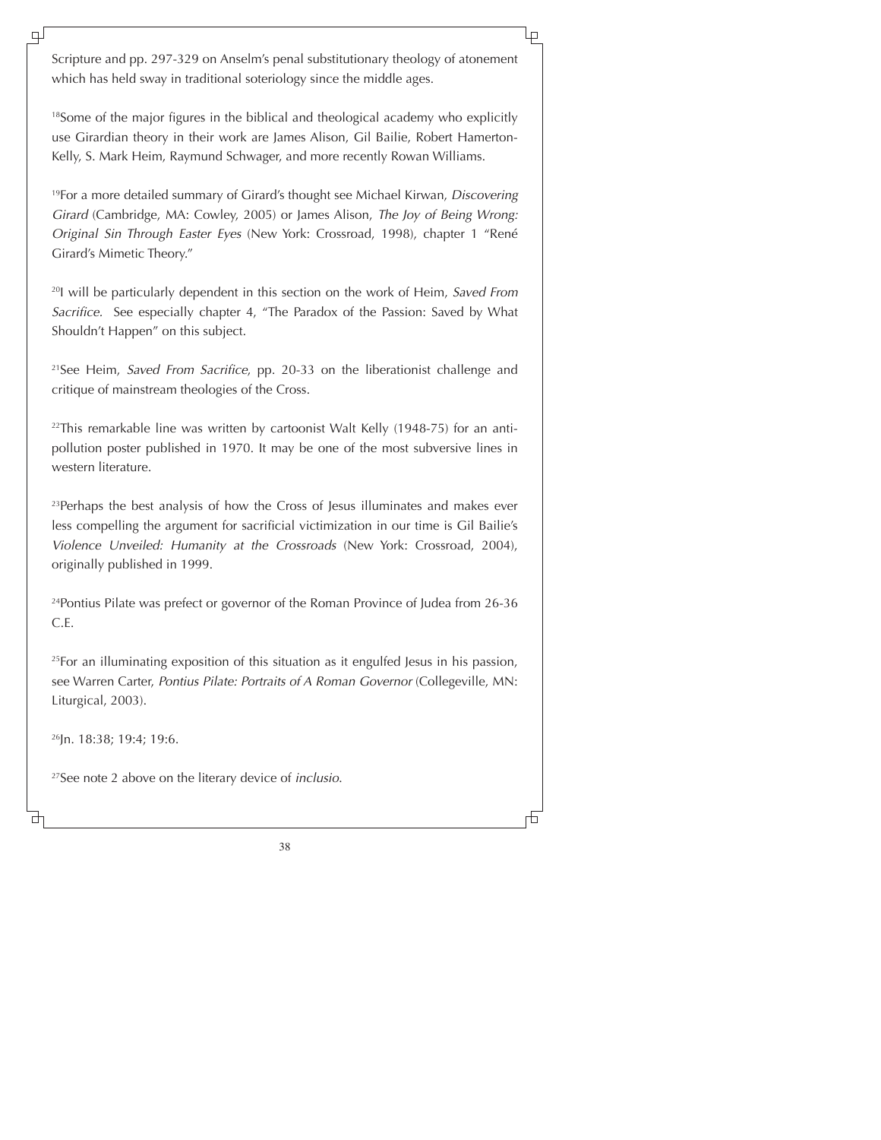Scripture and pp. 297-329 on Anselm's penal substitutionary theology of atonement which has held sway in traditional soteriology since the middle ages.

 $\Box$ 

<sup>18</sup>Some of the major figures in the biblical and theological academy who explicitly use Girardian theory in their work are James Alison, Gil Bailie, Robert Hamerton-Kelly, S. Mark Heim, Raymund Schwager, and more recently Rowan Williams.

 $19$ For a more detailed summary of Girard's thought see Michael Kirwan, Discovering Girard (Cambridge, MA: Cowley, 2005) or James Alison, The Joy of Being Wrong: Original Sin Through Easter Eyes (New York: Crossroad, 1998), chapter 1 "René Girard's Mimetic Theory."

<sup>20</sup>I will be particularly dependent in this section on the work of Heim, Saved From Sacrifice. See especially chapter 4, "The Paradox of the Passion: Saved by What Shouldn't Happen" on this subject.

 $21$ See Heim, Saved From Sacrifice, pp. 20-33 on the liberationist challenge and critique of mainstream theologies of the Cross.

<sup>22</sup>This remarkable line was written by cartoonist Walt Kelly (1948-75) for an antipollution poster published in 1970. It may be one of the most subversive lines in western literature.

 $23$ Perhaps the best analysis of how the Cross of Jesus illuminates and makes ever less compelling the argument for sacrificial victimization in our time is Gil Bailie's Violence Unveiled: Humanity at the Crossroads (New York: Crossroad, 2004), originally published in 1999.

<sup>24</sup>Pontius Pilate was prefect or governor of the Roman Province of Judea from 26-36 C.E.

 $25$  For an illuminating exposition of this situation as it engulfed Jesus in his passion, see Warren Carter, Pontius Pilate: Portraits of A Roman Governor (Collegeville, MN: Liturgical, 2003).

26Jn. 18:38; 19:4; 19:6.

 $\Box$ 

<sup>27</sup>See note 2 above on the literary device of *inclusio*.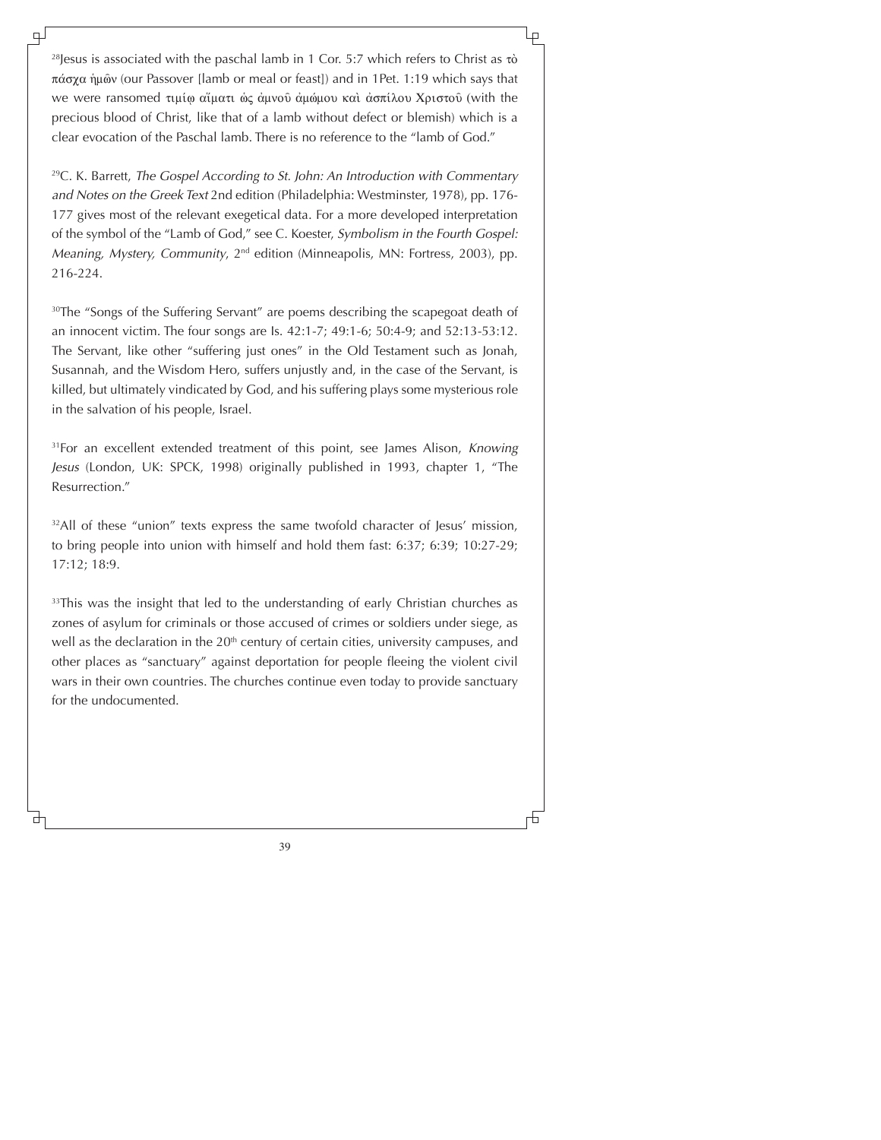<sup>28</sup> Jesus is associated with the paschal lamb in 1 Cor. 5:7 which refers to Christ as  $\tau$ ò  $\pi\acute{\alpha}\sigma\chi\alpha$  ήμῶν (our Passover [lamb or meal or feast]) and in 1Pet. 1:19 which says that we were ransomed τιμίω αἴματι ὡς ἀμνοῦ ἀμώμου καὶ ἀσπίλου Χριστοῦ (with the precious blood of Christ, like that of a lamb without defect or blemish) which is a clear evocation of the Paschal lamb. There is no reference to the "lamb of God."

Lр

 $\Box$ 

□

 $29C$ . K. Barrett, The Gospel According to St. John: An Introduction with Commentary and Notes on the Greek Text 2nd edition (Philadelphia: Westminster, 1978), pp. 176- 177 gives most of the relevant exegetical data. For a more developed interpretation of the symbol of the "Lamb of God," see C. Koester, Symbolism in the Fourth Gospel: Meaning, Mystery, Community, 2<sup>nd</sup> edition (Minneapolis, MN: Fortress, 2003), pp. 216-224.

<sup>30</sup>The "Songs of the Suffering Servant" are poems describing the scapegoat death of an innocent victim. The four songs are Is. 42:1-7; 49:1-6; 50:4-9; and 52:13-53:12. The Servant, like other "suffering just ones" in the Old Testament such as Jonah, Susannah, and the Wisdom Hero, suffers unjustly and, in the case of the Servant, is killed, but ultimately vindicated by God, and his suffering plays some mysterious role in the salvation of his people, Israel.

<sup>31</sup>For an excellent extended treatment of this point, see James Alison, *Knowing* Jesus (London, UK: SPCK, 1998) originally published in 1993, chapter 1, "The Resurrection."

<sup>32</sup>All of these "union" texts express the same twofold character of Jesus' mission, to bring people into union with himself and hold them fast: 6:37; 6:39; 10:27-29; 17:12; 18:9.

<sup>33</sup>This was the insight that led to the understanding of early Christian churches as zones of asylum for criminals or those accused of crimes or soldiers under siege, as well as the declaration in the  $20<sup>th</sup>$  century of certain cities, university campuses, and other places as "sanctuary" against deportation for people fleeing the violent civil wars in their own countries. The churches continue even today to provide sanctuary for the undocumented.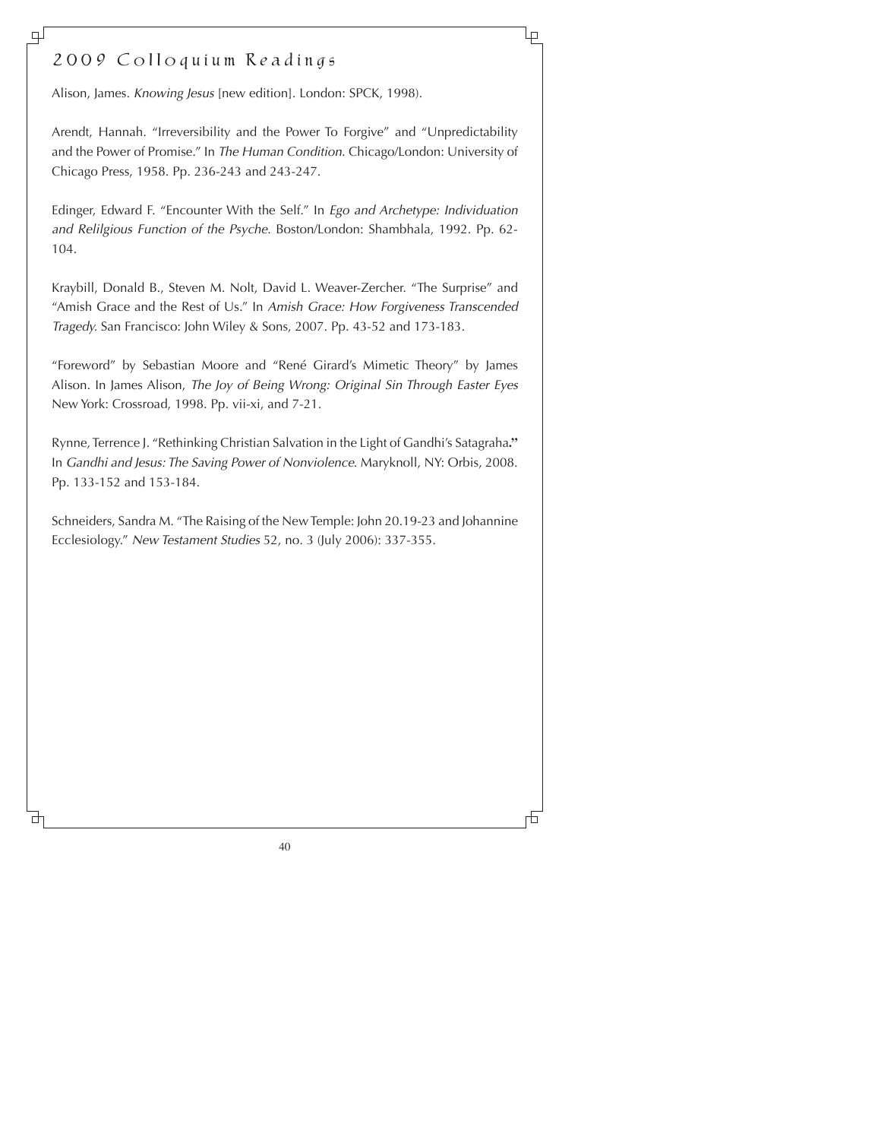## 2009 Colloquium Readings

 $\Box$ 

Alison, James. Knowing Jesus [new edition]. London: SPCK, 1998).

Arendt, Hannah. "Irreversibility and the Power To Forgive" and "Unpredictability and the Power of Promise." In The Human Condition. Chicago/London: University of Chicago Press, 1958. Pp. 236-243 and 243-247.

ᅟᆷ

Edinger, Edward F. "Encounter With the Self." In Ego and Archetype: Individuation and Relilgious Function of the Psyche. Boston/London: Shambhala, 1992. Pp. 62- 104.

Kraybill, Donald B., Steven M. Nolt, David L. Weaver-Zercher. "The Surprise" and "Amish Grace and the Rest of Us." In Amish Grace: How Forgiveness Transcended Tragedy. San Francisco: John Wiley & Sons, 2007. Pp. 43-52 and 173-183.

"Foreword" by Sebastian Moore and "René Girard's Mimetic Theory" by James Alison. In James Alison, The Joy of Being Wrong: Original Sin Through Easter Eyes New York: Crossroad, 1998. Pp. vii-xi, and 7-21.

Rynne, Terrence J. "Rethinking Christian Salvation in the Light of Gandhi's Satagraha**."** In Gandhi and Jesus: The Saving Power of Nonviolence. Maryknoll, NY: Orbis, 2008. Pp. 133-152 and 153-184.

Schneiders, Sandra M. "The Raising of the New Temple: John 20.19-23 and Johannine Ecclesiology." New Testament Studies 52, no. 3 (July 2006): 337-355.